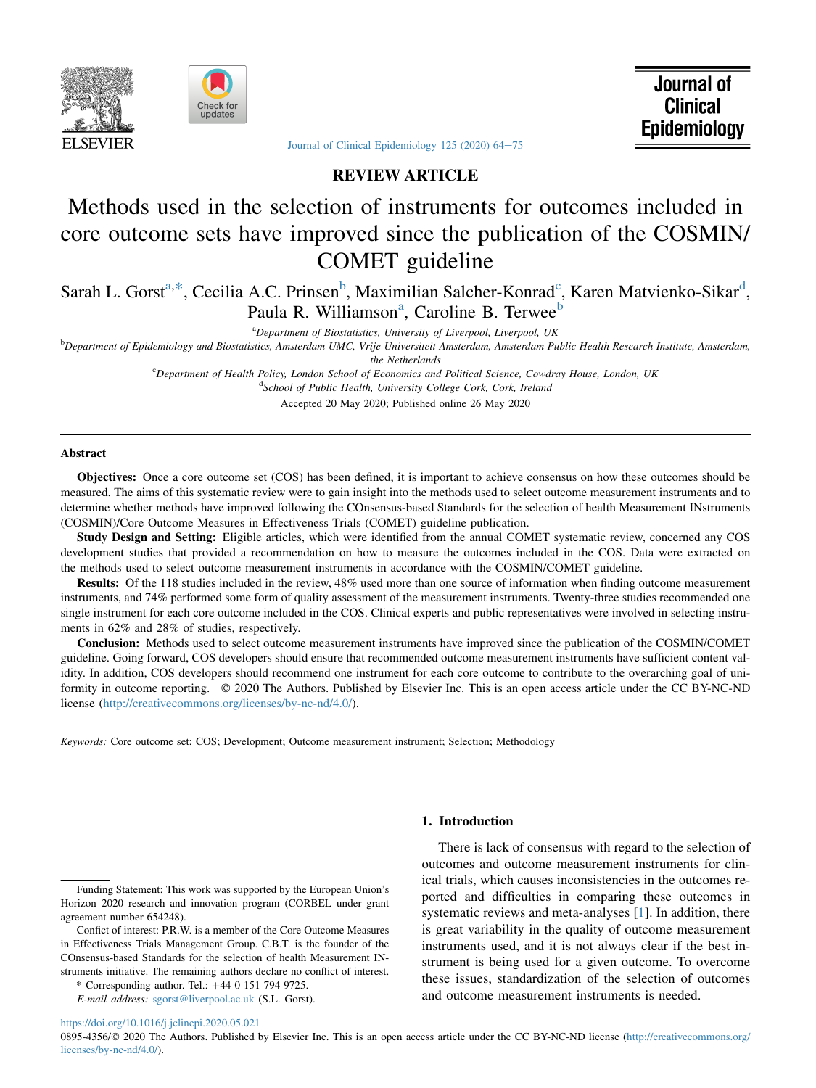



Journal of **Clinical Epidemiology** 

Journal of Clinical Epidemiology  $125$  (2020)  $64-75$  $64-75$ 

# REVIEW ARTICLE

# Methods used in the selection of instruments for outcomes included in core outcome sets have improved since the publication of the COSMIN/ COMET guideline

Sarah L. Gorst<sup>[a,](#page-0-0)\*</sup>, Ce[c](#page-0-3)ilia A.C. Prinsen<sup>b</sup>, Maximilian Salcher-Konra[d](#page-0-4)<sup>c</sup>, Karen Matvienko-Sikar<sup>d</sup>, P[a](#page-0-0)ula R. Williamson<sup>a</sup>, Caroline B. Terwee<sup>[b](#page-0-2)</sup>

<sup>a</sup>Department of Biostatistics, University of Liverpool, Liverpool, UK

<span id="page-0-4"></span><span id="page-0-3"></span><span id="page-0-2"></span><span id="page-0-0"></span>b Department of Epidemiology and Biostatistics, Amsterdam UMC, Vrije Universiteit Amsterdam, Amsterdam Public Health Research Institute, Amsterdam, the Netherlands

> <sup>c</sup>Department of Health Policy, London School of Economics and Political Science, Cowdray House, London, UK <sup>d</sup>School of Public Health, University College Cork, Cork, Ireland

> > Accepted 20 May 2020; Published online 26 May 2020

## Abstract

Objectives: Once a core outcome set (COS) has been defined, it is important to achieve consensus on how these outcomes should be measured. The aims of this systematic review were to gain insight into the methods used to select outcome measurement instruments and to determine whether methods have improved following the COnsensus-based Standards for the selection of health Measurement INstruments (COSMIN)/Core Outcome Measures in Effectiveness Trials (COMET) guideline publication.

Study Design and Setting: Eligible articles, which were identified from the annual COMET systematic review, concerned any COS development studies that provided a recommendation on how to measure the outcomes included in the COS. Data were extracted on the methods used to select outcome measurement instruments in accordance with the COSMIN/COMET guideline.

Results: Of the 118 studies included in the review, 48% used more than one source of information when finding outcome measurement instruments, and 74% performed some form of quality assessment of the measurement instruments. Twenty-three studies recommended one single instrument for each core outcome included in the COS. Clinical experts and public representatives were involved in selecting instruments in 62% and 28% of studies, respectively.

Conclusion: Methods used to select outcome measurement instruments have improved since the publication of the COSMIN/COMET guideline. Going forward, COS developers should ensure that recommended outcome measurement instruments have sufficient content validity. In addition, COS developers should recommend one instrument for each core outcome to contribute to the overarching goal of uniformity in outcome reporting.  $\oslash$  2020 The Authors. Published by Elsevier Inc. This is an open access article under the CC BY-NC-ND license [\(http://creativecommons.org/licenses/by-nc-nd/4.0/](http://creativecommons.org/licenses/by-nc-nd/4.0/)).

Keywords: Core outcome set; COS; Development; Outcome measurement instrument; Selection; Methodology

# 1. Introduction

Funding Statement: This work was supported by the European Union's Horizon 2020 research and innovation program (CORBEL under grant agreement number 654248).

Confict of interest: P.R.W. is a member of the Core Outcome Measures in Effectiveness Trials Management Group. C.B.T. is the founder of the COnsensus-based Standards for the selection of health Measurement INstruments initiative. The remaining authors declare no conflict of interest.

<span id="page-0-1"></span>\* Corresponding author. Tel.:  $+4401517949725$ .

E-mail address: [sgorst@liverpool.ac.uk](mailto:sgorst@liverpool.ac.uk) (S.L. Gorst).

There is lack of consensus with regard to the selection of outcomes and outcome measurement instruments for clinical trials, which causes inconsistencies in the outcomes reported and difficulties in comparing these outcomes in systematic reviews and meta-analyses [\[1](#page-8-0)]. In addition, there is great variability in the quality of outcome measurement instruments used, and it is not always clear if the best instrument is being used for a given outcome. To overcome these issues, standardization of the selection of outcomes and outcome measurement instruments is needed.

### <https://doi.org/10.1016/j.jclinepi.2020.05.021>

0895-4356/© 2020 The Authors. Published by Elsevier Inc. This is an open access article under the CC BY-NC-ND license [\(http://creativecommons.org/](http://creativecommons.org/licenses/by-nc-nd/4.0/) [licenses/by-nc-nd/4.0/\)](http://creativecommons.org/licenses/by-nc-nd/4.0/).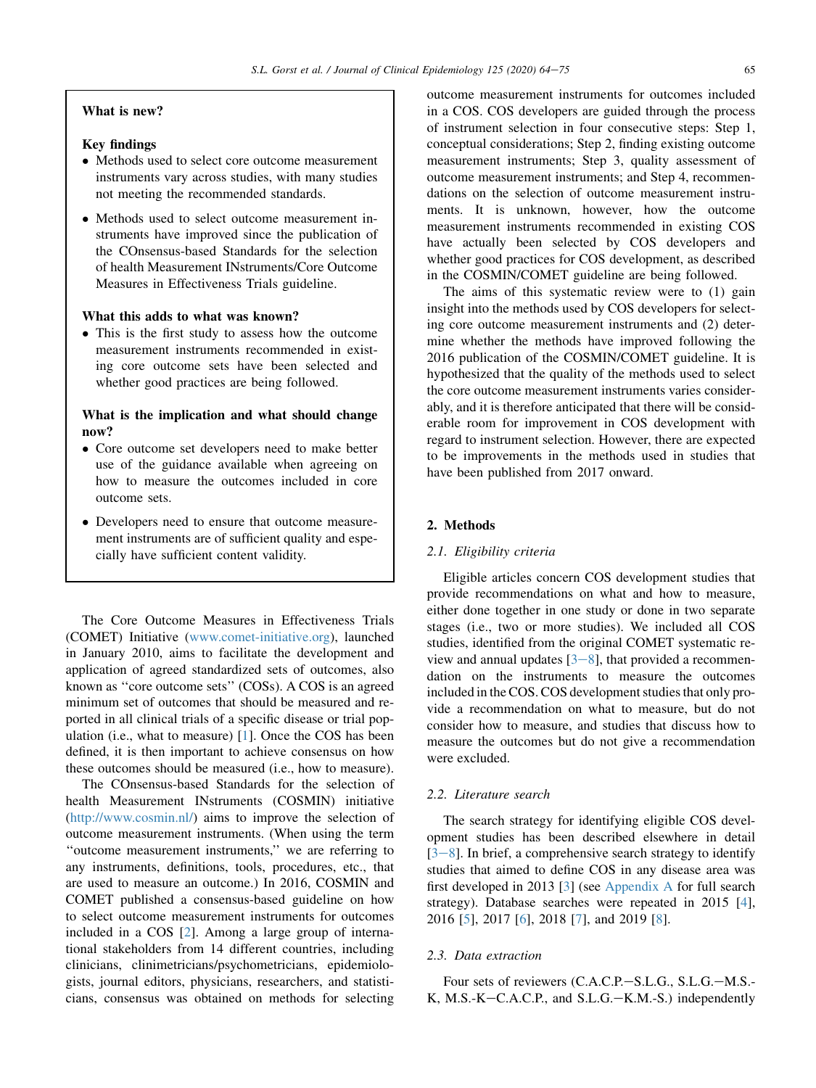## What is new?

## Key findings

- Methods used to select core outcome measurement instruments vary across studies, with many studies not meeting the recommended standards.
- Methods used to select outcome measurement instruments have improved since the publication of the COnsensus-based Standards for the selection of health Measurement INstruments/Core Outcome Measures in Effectiveness Trials guideline.

## What this adds to what was known?

- This is the first study to assess how the outcome measurement instruments recommended in existing core outcome sets have been selected and whether good practices are being followed.

# What is the implication and what should change now?

- Core outcome set developers need to make better use of the guidance available when agreeing on how to measure the outcomes included in core outcome sets.
- Developers need to ensure that outcome measurement instruments are of sufficient quality and especially have sufficient content validity.

The Core Outcome Measures in Effectiveness Trials (COMET) Initiative ([www.comet-initiative.org](http://www.comet-initiative.org)), launched in January 2010, aims to facilitate the development and application of agreed standardized sets of outcomes, also known as ''core outcome sets'' (COSs). A COS is an agreed minimum set of outcomes that should be measured and reported in all clinical trials of a specific disease or trial population (i.e., what to measure) [\[1](#page-8-0)]. Once the COS has been defined, it is then important to achieve consensus on how these outcomes should be measured (i.e., how to measure).

The COnsensus-based Standards for the selection of health Measurement INstruments (COSMIN) initiative [\(http://www.cosmin.nl/\)](http://www.cosmin.nl/) aims to improve the selection of outcome measurement instruments. (When using the term ''outcome measurement instruments,'' we are referring to any instruments, definitions, tools, procedures, etc., that are used to measure an outcome.) In 2016, COSMIN and COMET published a consensus-based guideline on how to select outcome measurement instruments for outcomes included in a COS [[2](#page-8-1)]. Among a large group of international stakeholders from 14 different countries, including clinicians, clinimetricians/psychometricians, epidemiologists, journal editors, physicians, researchers, and statisticians, consensus was obtained on methods for selecting outcome measurement instruments for outcomes included in a COS. COS developers are guided through the process of instrument selection in four consecutive steps: Step 1, conceptual considerations; Step 2, finding existing outcome measurement instruments; Step 3, quality assessment of outcome measurement instruments; and Step 4, recommendations on the selection of outcome measurement instruments. It is unknown, however, how the outcome measurement instruments recommended in existing COS have actually been selected by COS developers and whether good practices for COS development, as described in the COSMIN/COMET guideline are being followed.

The aims of this systematic review were to (1) gain insight into the methods used by COS developers for selecting core outcome measurement instruments and (2) determine whether the methods have improved following the 2016 publication of the COSMIN/COMET guideline. It is hypothesized that the quality of the methods used to select the core outcome measurement instruments varies considerably, and it is therefore anticipated that there will be considerable room for improvement in COS development with regard to instrument selection. However, there are expected to be improvements in the methods used in studies that have been published from 2017 onward.

#### 2. Methods

## 2.1. Eligibility criteria

Eligible articles concern COS development studies that provide recommendations on what and how to measure, either done together in one study or done in two separate stages (i.e., two or more studies). We included all COS studies, identified from the original COMET systematic review and annual updates  $[3-8]$  $[3-8]$  $[3-8]$  $[3-8]$  $[3-8]$ , that provided a recommendation on the instruments to measure the outcomes included in the COS. COS development studies that only provide a recommendation on what to measure, but do not consider how to measure, and studies that discuss how to measure the outcomes but do not give a recommendation were excluded.

# 2.2. Literature search

The search strategy for identifying eligible COS development studies has been described elsewhere in detail  $[3-8]$  $[3-8]$  $[3-8]$ . In brief, a comprehensive search strategy to identify studies that aimed to define COS in any disease area was first developed in 2013 [\[3](#page-8-2)] (see [Appendix A](#page-11-0) for full search strategy). Database searches were repeated in 2015 [\[4](#page-8-3)], 2016 [\[5](#page-8-4)], 2017 [\[6](#page-8-5)], 2018 [[7\]](#page-8-6), and 2019 [\[8](#page-8-7)].

#### 2.3. Data extraction

Four sets of reviewers (C.A.C.P.-S.L.G., S.L.G.-M.S.-K, M.S.-K-C.A.C.P., and S.L.G.-K.M.-S.) independently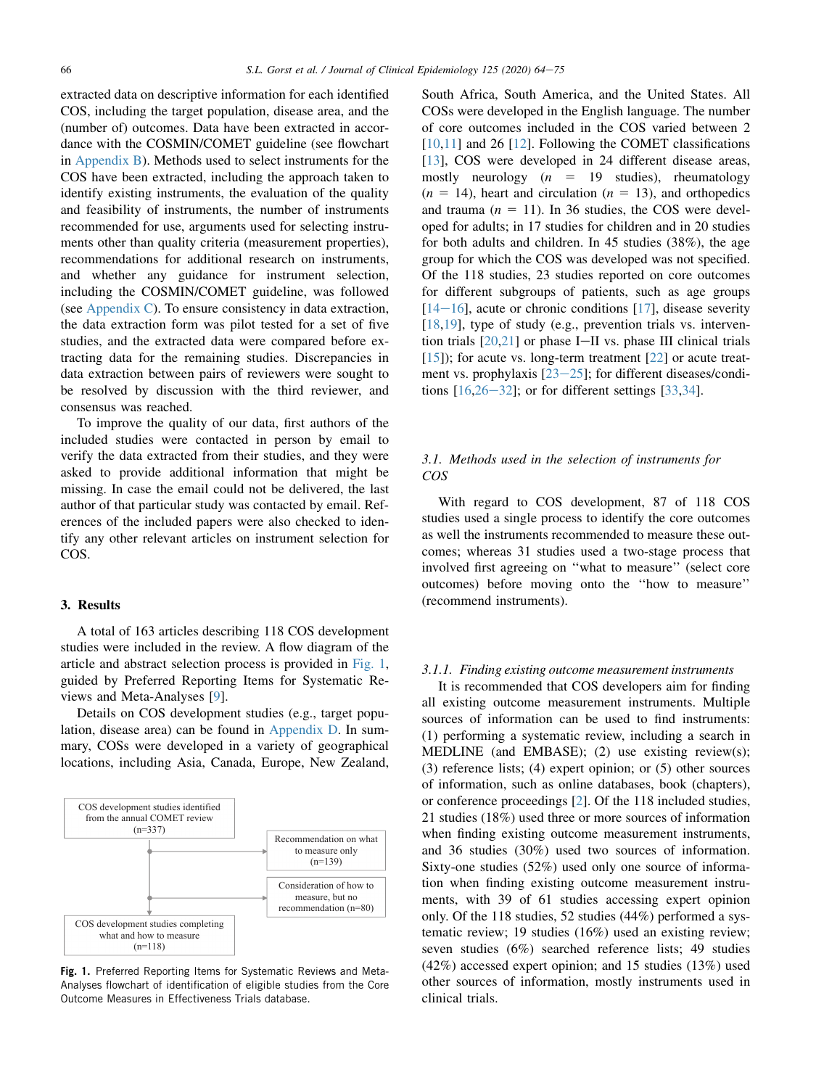extracted data on descriptive information for each identified COS, including the target population, disease area, and the (number of) outcomes. Data have been extracted in accordance with the COSMIN/COMET guideline (see flowchart in [Appendix B\)](#page-11-0). Methods used to select instruments for the COS have been extracted, including the approach taken to identify existing instruments, the evaluation of the quality and feasibility of instruments, the number of instruments recommended for use, arguments used for selecting instruments other than quality criteria (measurement properties), recommendations for additional research on instruments, and whether any guidance for instrument selection, including the COSMIN/COMET guideline, was followed (see [Appendix C\)](#page-11-0). To ensure consistency in data extraction, the data extraction form was pilot tested for a set of five studies, and the extracted data were compared before extracting data for the remaining studies. Discrepancies in data extraction between pairs of reviewers were sought to be resolved by discussion with the third reviewer, and consensus was reached.

To improve the quality of our data, first authors of the included studies were contacted in person by email to verify the data extracted from their studies, and they were asked to provide additional information that might be missing. In case the email could not be delivered, the last author of that particular study was contacted by email. References of the included papers were also checked to identify any other relevant articles on instrument selection for COS.

## 3. Results

A total of 163 articles describing 118 COS development studies were included in the review. A flow diagram of the article and abstract selection process is provided in [Fig. 1,](#page-2-0) guided by Preferred Reporting Items for Systematic Reviews and Meta-Analyses [\[9](#page-8-8)].

Details on COS development studies (e.g., target population, disease area) can be found in [Appendix D.](#page-11-0) In summary, COSs were developed in a variety of geographical locations, including Asia, Canada, Europe, New Zealand,

<span id="page-2-0"></span>

**Fig. 1.** Preferred Reporting Items for Systematic Reviews and Meta-Analyses flowchart of identification of eligible studies from the Core Outcome Measures in Effectiveness Trials database.

South Africa, South America, and the United States. All COSs were developed in the English language. The number of core outcomes included in the COS varied between 2 [\[10](#page-8-9),[11\]](#page-8-10) and 26 [[12\]](#page-8-11). Following the COMET classifications [\[13](#page-8-12)], COS were developed in 24 different disease areas, mostly neurology  $(n = 19$  studies), rheumatology  $(n = 14)$ , heart and circulation  $(n = 13)$ , and orthopedics and trauma ( $n = 11$ ). In 36 studies, the COS were developed for adults; in 17 studies for children and in 20 studies for both adults and children. In 45 studies (38%), the age group for which the COS was developed was not specified. Of the 118 studies, 23 studies reported on core outcomes for different subgroups of patients, such as age groups  $[14-16]$  $[14-16]$  $[14-16]$ , acute or chronic conditions  $[17]$  $[17]$ , disease severity [\[18](#page-8-15),[19\]](#page-8-16), type of study (e.g., prevention trials vs. intervention trials  $[20,21]$  $[20,21]$  $[20,21]$  $[20,21]$  or phase I-II vs. phase III clinical trials  $[15]$  $[15]$ ; for acute vs. long-term treatment  $[22]$  $[22]$  or acute treatment vs. prophylaxis  $[23-25]$  $[23-25]$  $[23-25]$ ; for different diseases/conditions  $[16,26-32]$  $[16,26-32]$  $[16,26-32]$  $[16,26-32]$  $[16,26-32]$  $[16,26-32]$ ; or for different settings  $[33,34]$  $[33,34]$  $[33,34]$ .

# 3.1. Methods used in the selection of instruments for COS

With regard to COS development, 87 of 118 COS studies used a single process to identify the core outcomes as well the instruments recommended to measure these outcomes; whereas 31 studies used a two-stage process that involved first agreeing on ''what to measure'' (select core outcomes) before moving onto the ''how to measure'' (recommend instruments).

#### 3.1.1. Finding existing outcome measurement instruments

It is recommended that COS developers aim for finding all existing outcome measurement instruments. Multiple sources of information can be used to find instruments: (1) performing a systematic review, including a search in MEDLINE (and EMBASE); (2) use existing review(s); (3) reference lists; (4) expert opinion; or (5) other sources of information, such as online databases, book (chapters), or conference proceedings [\[2](#page-8-1)]. Of the 118 included studies, 21 studies (18%) used three or more sources of information when finding existing outcome measurement instruments, and 36 studies (30%) used two sources of information. Sixty-one studies (52%) used only one source of information when finding existing outcome measurement instruments, with 39 of 61 studies accessing expert opinion only. Of the 118 studies, 52 studies (44%) performed a systematic review; 19 studies (16%) used an existing review; seven studies (6%) searched reference lists; 49 studies (42%) accessed expert opinion; and 15 studies (13%) used other sources of information, mostly instruments used in clinical trials.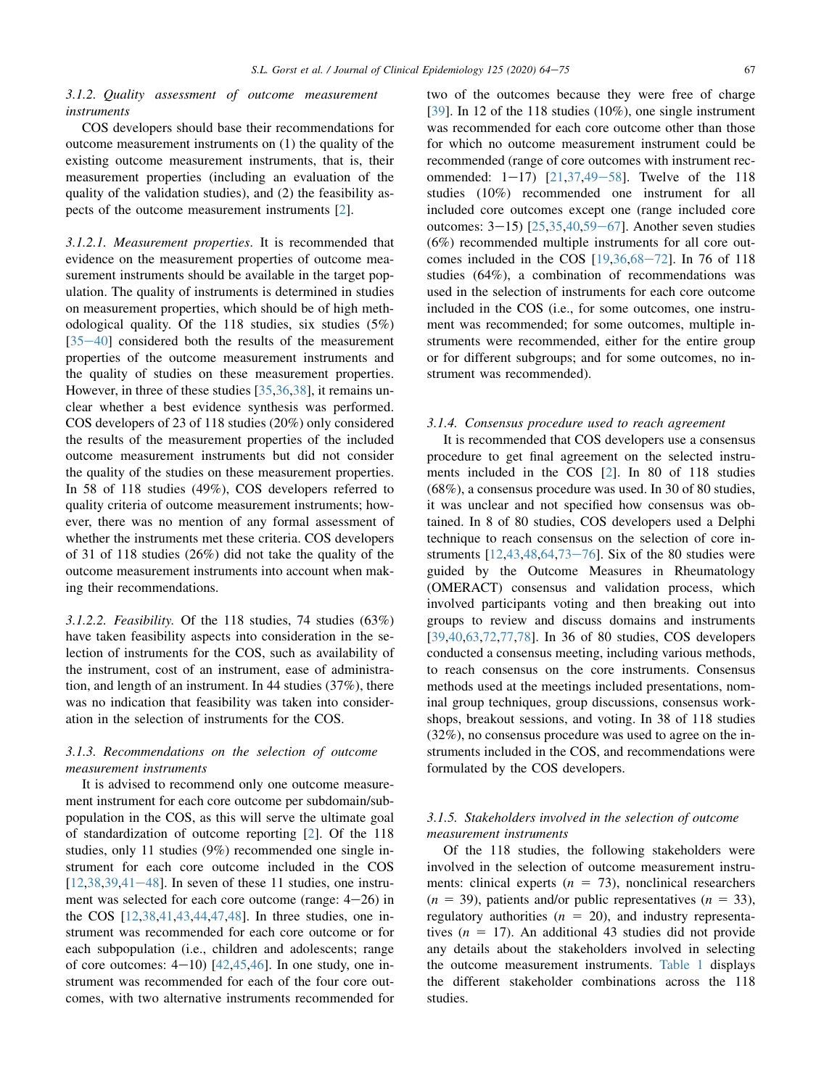## 3.1.2. Quality assessment of outcome measurement instruments

COS developers should base their recommendations for outcome measurement instruments on (1) the quality of the existing outcome measurement instruments, that is, their measurement properties (including an evaluation of the quality of the validation studies), and (2) the feasibility aspects of the outcome measurement instruments [[2\]](#page-8-1).

3.1.2.1. Measurement properties. It is recommended that evidence on the measurement properties of outcome measurement instruments should be available in the target population. The quality of instruments is determined in studies on measurement properties, which should be of high methodological quality. Of the 118 studies, six studies (5%)  $[35-40]$  $[35-40]$  $[35-40]$  considered both the results of the measurement properties of the outcome measurement instruments and the quality of studies on these measurement properties. However, in three of these studies [\[35](#page-9-7),[36](#page-9-8)[,38](#page-9-9)], it remains unclear whether a best evidence synthesis was performed. COS developers of 23 of 118 studies (20%) only considered the results of the measurement properties of the included outcome measurement instruments but did not consider the quality of the studies on these measurement properties. In 58 of 118 studies (49%), COS developers referred to quality criteria of outcome measurement instruments; however, there was no mention of any formal assessment of whether the instruments met these criteria. COS developers of 31 of 118 studies (26%) did not take the quality of the outcome measurement instruments into account when making their recommendations.

3.1.2.2. Feasibility. Of the 118 studies, 74 studies (63%) have taken feasibility aspects into consideration in the selection of instruments for the COS, such as availability of the instrument, cost of an instrument, ease of administration, and length of an instrument. In 44 studies (37%), there was no indication that feasibility was taken into consideration in the selection of instruments for the COS.

# 3.1.3. Recommendations on the selection of outcome measurement instruments

It is advised to recommend only one outcome measurement instrument for each core outcome per subdomain/subpopulation in the COS, as this will serve the ultimate goal of standardization of outcome reporting [\[2](#page-8-1)]. Of the 118 studies, only 11 studies (9%) recommended one single instrument for each core outcome included in the COS  $[12,38,39,41-48]$  $[12,38,39,41-48]$  $[12,38,39,41-48]$  $[12,38,39,41-48]$  $[12,38,39,41-48]$  $[12,38,39,41-48]$  $[12,38,39,41-48]$  $[12,38,39,41-48]$  $[12,38,39,41-48]$ . In seven of these 11 studies, one instrument was selected for each core outcome (range:  $4-26$ ) in the COS [\[12](#page-8-11),[38,](#page-9-9)[41](#page-9-11),[43,](#page-9-12)[44](#page-9-13),[47,](#page-9-14)[48\]](#page-9-15). In three studies, one instrument was recommended for each core outcome or for each subpopulation (i.e., children and adolescents; range of core outcomes:  $4-10$ )  $[42,45,46]$  $[42,45,46]$  $[42,45,46]$  $[42,45,46]$  $[42,45,46]$ . In one study, one instrument was recommended for each of the four core outcomes, with two alternative instruments recommended for two of the outcomes because they were free of charge [\[39](#page-9-10)]. In 12 of the 118 studies (10%), one single instrument was recommended for each core outcome other than those for which no outcome measurement instrument could be recommended (range of core outcomes with instrument recommended:  $1-17$ )  $[21,37,49-58]$  $[21,37,49-58]$  $[21,37,49-58]$  $[21,37,49-58]$  $[21,37,49-58]$  $[21,37,49-58]$ . Twelve of the 118 studies (10%) recommended one instrument for all included core outcomes except one (range included core outcomes:  $3-15$ ) [ $25,35,40,59-67$  $25,35,40,59-67$  $25,35,40,59-67$  $25,35,40,59-67$  $25,35,40,59-67$  $25,35,40,59-67$  $25,35,40,59-67$ ]. Another seven studies (6%) recommended multiple instruments for all core outcomes included in the COS  $[19,36,68-72]$  $[19,36,68-72]$  $[19,36,68-72]$  $[19,36,68-72]$  $[19,36,68-72]$  $[19,36,68-72]$  $[19,36,68-72]$  $[19,36,68-72]$ . In 76 of 118 studies (64%), a combination of recommendations was used in the selection of instruments for each core outcome included in the COS (i.e., for some outcomes, one instrument was recommended; for some outcomes, multiple instruments were recommended, either for the entire group or for different subgroups; and for some outcomes, no instrument was recommended).

#### 3.1.4. Consensus procedure used to reach agreement

It is recommended that COS developers use a consensus procedure to get final agreement on the selected instruments included in the COS [[2\]](#page-8-1). In 80 of 118 studies (68%), a consensus procedure was used. In 30 of 80 studies, it was unclear and not specified how consensus was obtained. In 8 of 80 studies, COS developers used a Delphi technique to reach consensus on the selection of core instruments  $[12,43,48,64,73-76]$  $[12,43,48,64,73-76]$  $[12,43,48,64,73-76]$  $[12,43,48,64,73-76]$  $[12,43,48,64,73-76]$  $[12,43,48,64,73-76]$  $[12,43,48,64,73-76]$  $[12,43,48,64,73-76]$  $[12,43,48,64,73-76]$ . Six of the 80 studies were guided by the Outcome Measures in Rheumatology (OMERACT) consensus and validation process, which involved participants voting and then breaking out into groups to review and discuss domains and instruments [\[39](#page-9-10),[40,](#page-9-22)[63](#page-10-4),[72,](#page-10-5)[77](#page-10-6),[78\]](#page-10-7). In 36 of 80 studies, COS developers conducted a consensus meeting, including various methods, to reach consensus on the core instruments. Consensus methods used at the meetings included presentations, nominal group techniques, group discussions, consensus workshops, breakout sessions, and voting. In 38 of 118 studies (32%), no consensus procedure was used to agree on the instruments included in the COS, and recommendations were formulated by the COS developers.

# 3.1.5. Stakeholders involved in the selection of outcome measurement instruments

Of the 118 studies, the following stakeholders were involved in the selection of outcome measurement instruments: clinical experts  $(n = 73)$ , nonclinical researchers  $(n = 39)$ , patients and/or public representatives  $(n = 33)$ , regulatory authorities ( $n = 20$ ), and industry representatives ( $n = 17$ ). An additional 43 studies did not provide any details about the stakeholders involved in selecting the outcome measurement instruments. [Table 1](#page-4-0) displays the different stakeholder combinations across the 118 studies.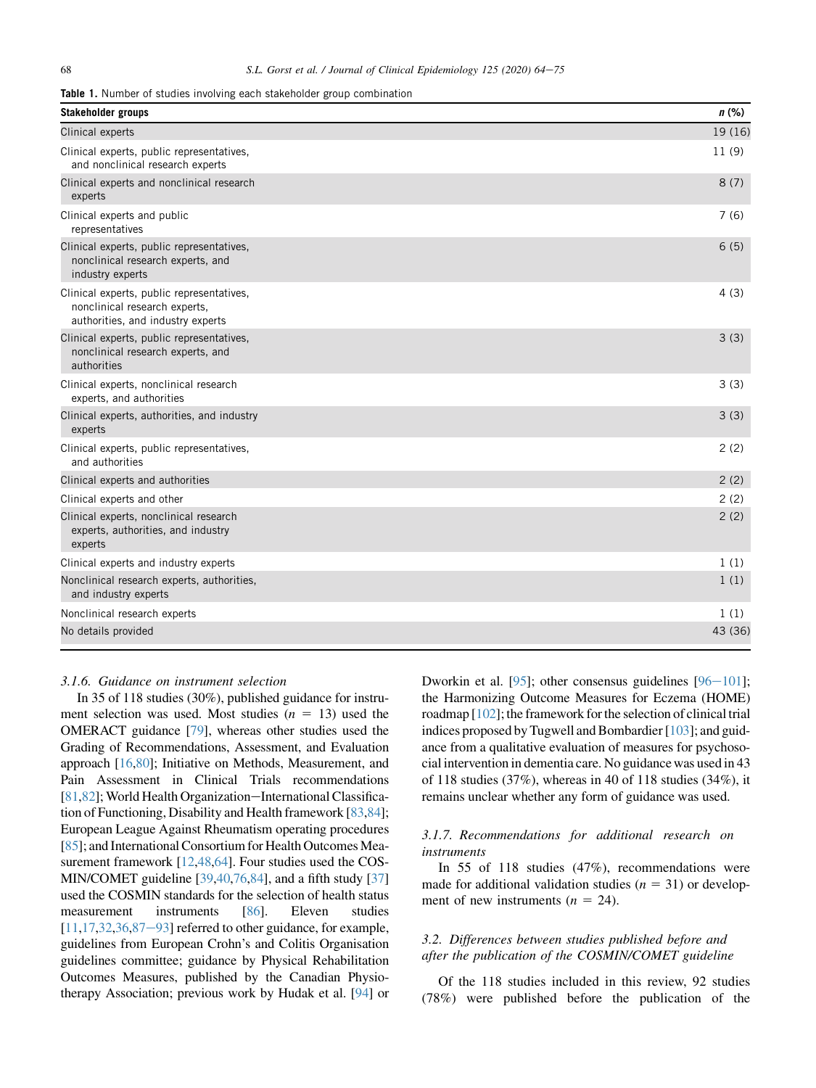<span id="page-4-0"></span>**Table 1.** Number of studies involving each stakeholder group combination

| <b>Stakeholder groups</b>                                                                                       | $n$ (%) |
|-----------------------------------------------------------------------------------------------------------------|---------|
| Clinical experts                                                                                                | 19 (16) |
| Clinical experts, public representatives,<br>and nonclinical research experts                                   | 11(9)   |
| Clinical experts and nonclinical research<br>experts                                                            | 8(7)    |
| Clinical experts and public<br>representatives                                                                  | 7(6)    |
| Clinical experts, public representatives,<br>nonclinical research experts, and<br>industry experts              | 6(5)    |
| Clinical experts, public representatives,<br>nonclinical research experts,<br>authorities, and industry experts | 4(3)    |
| Clinical experts, public representatives,<br>nonclinical research experts, and<br>authorities                   | 3(3)    |
| Clinical experts, nonclinical research<br>experts, and authorities                                              | 3(3)    |
| Clinical experts, authorities, and industry<br>experts                                                          | 3(3)    |
| Clinical experts, public representatives,<br>and authorities                                                    | 2(2)    |
| Clinical experts and authorities                                                                                | 2(2)    |
| Clinical experts and other                                                                                      | 2(2)    |
| Clinical experts, nonclinical research<br>experts, authorities, and industry<br>experts                         | 2(2)    |
| Clinical experts and industry experts                                                                           | 1(1)    |
| Nonclinical research experts, authorities,<br>and industry experts                                              | 1(1)    |
| Nonclinical research experts                                                                                    | 1(1)    |
| No details provided                                                                                             | 43 (36) |

## 3.1.6. Guidance on instrument selection

In 35 of 118 studies (30%), published guidance for instrument selection was used. Most studies  $(n = 13)$  used the OMERACT guidance [[79](#page-10-8)], whereas other studies used the Grading of Recommendations, Assessment, and Evaluation approach [[16](#page-8-18),[80\]](#page-10-9); Initiative on Methods, Measurement, and Pain Assessment in Clinical Trials recommendations [\[81](#page-10-10),[82](#page-10-11)]; World Health Organization-International Classification of Functioning, Disability and Health framework [\[83](#page-10-12)[,84](#page-10-13)]; European League Against Rheumatism operating procedures [\[85](#page-10-14)]; and International Consortium for Health Outcomes Measurement framework [[12,](#page-8-11)[48](#page-9-15)[,64\]](#page-10-2). Four studies used the COS-MIN/COMET guideline [\[39](#page-9-10),[40](#page-9-22),[76,](#page-10-15)[84\]](#page-10-13), and a fifth study [\[37\]](#page-9-19) used the COSMIN standards for the selection of health status measurement instruments [[86](#page-10-16)]. Eleven studies  $[11, 17, 32, 36, 87-93]$  $[11, 17, 32, 36, 87-93]$  $[11, 17, 32, 36, 87-93]$  $[11, 17, 32, 36, 87-93]$  $[11, 17, 32, 36, 87-93]$  $[11, 17, 32, 36, 87-93]$  $[11, 17, 32, 36, 87-93]$  $[11, 17, 32, 36, 87-93]$  $[11, 17, 32, 36, 87-93]$  $[11, 17, 32, 36, 87-93]$  referred to other guidance, for example, guidelines from European Crohn's and Colitis Organisation guidelines committee; guidance by Physical Rehabilitation Outcomes Measures, published by the Canadian Physiotherapy Association; previous work by Hudak et al. [[94](#page-11-2)] or

Dworkin et al. [\[95](#page-11-3)]; other consensus guidelines  $[96-101]$  $[96-101]$  $[96-101]$  $[96-101]$ ; the Harmonizing Outcome Measures for Eczema (HOME) roadmap [\[102](#page-11-5)]; the framework for the selection of clinical trial indices proposed by Tugwell and Bombardier [\[103](#page-11-6)]; and guidance from a qualitative evaluation of measures for psychosocial intervention in dementia care. No guidance was used in 43 of 118 studies (37%), whereas in 40 of 118 studies (34%), it remains unclear whether any form of guidance was used.

# 3.1.7. Recommendations for additional research on instruments

In 55 of 118 studies (47%), recommendations were made for additional validation studies ( $n = 31$ ) or development of new instruments  $(n = 24)$ .

# 3.2. Differences between studies published before and after the publication of the COSMIN/COMET guideline

Of the 118 studies included in this review, 92 studies (78%) were published before the publication of the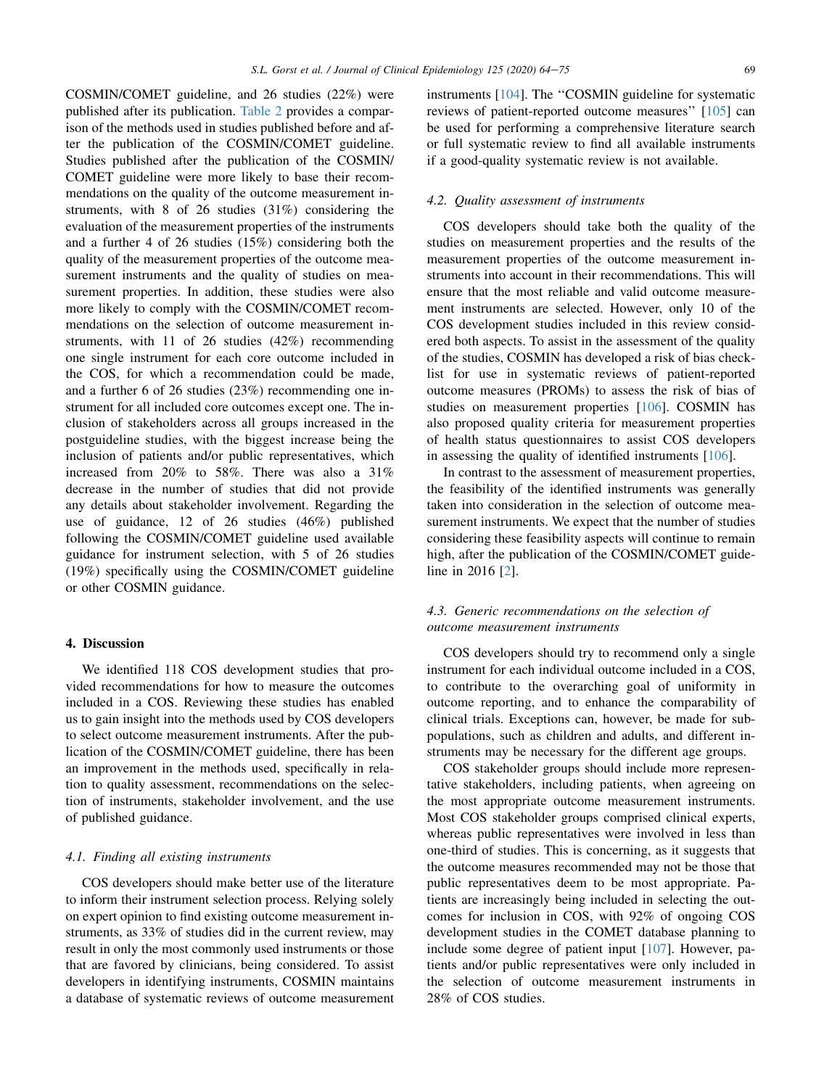COSMIN/COMET guideline, and 26 studies (22%) were published after its publication. [Table 2](#page-6-0) provides a comparison of the methods used in studies published before and after the publication of the COSMIN/COMET guideline. Studies published after the publication of the COSMIN/ COMET guideline were more likely to base their recommendations on the quality of the outcome measurement instruments, with 8 of 26 studies (31%) considering the evaluation of the measurement properties of the instruments and a further 4 of 26 studies (15%) considering both the quality of the measurement properties of the outcome measurement instruments and the quality of studies on measurement properties. In addition, these studies were also more likely to comply with the COSMIN/COMET recommendations on the selection of outcome measurement instruments, with 11 of 26 studies (42%) recommending one single instrument for each core outcome included in the COS, for which a recommendation could be made, and a further 6 of 26 studies (23%) recommending one instrument for all included core outcomes except one. The inclusion of stakeholders across all groups increased in the postguideline studies, with the biggest increase being the inclusion of patients and/or public representatives, which increased from 20% to 58%. There was also a 31% decrease in the number of studies that did not provide any details about stakeholder involvement. Regarding the use of guidance, 12 of 26 studies (46%) published following the COSMIN/COMET guideline used available guidance for instrument selection, with 5 of 26 studies (19%) specifically using the COSMIN/COMET guideline or other COSMIN guidance.

## 4. Discussion

We identified 118 COS development studies that provided recommendations for how to measure the outcomes included in a COS. Reviewing these studies has enabled us to gain insight into the methods used by COS developers to select outcome measurement instruments. After the publication of the COSMIN/COMET guideline, there has been an improvement in the methods used, specifically in relation to quality assessment, recommendations on the selection of instruments, stakeholder involvement, and the use of published guidance.

# 4.1. Finding all existing instruments

COS developers should make better use of the literature to inform their instrument selection process. Relying solely on expert opinion to find existing outcome measurement instruments, as 33% of studies did in the current review, may result in only the most commonly used instruments or those that are favored by clinicians, being considered. To assist developers in identifying instruments, COSMIN maintains a database of systematic reviews of outcome measurement instruments [[104\]](#page-11-7). The ''COSMIN guideline for systematic reviews of patient-reported outcome measures'' [[105\]](#page-11-8) can be used for performing a comprehensive literature search or full systematic review to find all available instruments if a good-quality systematic review is not available.

#### 4.2. Quality assessment of instruments

COS developers should take both the quality of the studies on measurement properties and the results of the measurement properties of the outcome measurement instruments into account in their recommendations. This will ensure that the most reliable and valid outcome measurement instruments are selected. However, only 10 of the COS development studies included in this review considered both aspects. To assist in the assessment of the quality of the studies, COSMIN has developed a risk of bias checklist for use in systematic reviews of patient-reported outcome measures (PROMs) to assess the risk of bias of studies on measurement properties [[106\]](#page-11-9). COSMIN has also proposed quality criteria for measurement properties of health status questionnaires to assist COS developers in assessing the quality of identified instruments [\[106](#page-11-9)].

In contrast to the assessment of measurement properties, the feasibility of the identified instruments was generally taken into consideration in the selection of outcome measurement instruments. We expect that the number of studies considering these feasibility aspects will continue to remain high, after the publication of the COSMIN/COMET guideline in 2016 [[2\]](#page-8-1).

# 4.3. Generic recommendations on the selection of outcome measurement instruments

COS developers should try to recommend only a single instrument for each individual outcome included in a COS, to contribute to the overarching goal of uniformity in outcome reporting, and to enhance the comparability of clinical trials. Exceptions can, however, be made for subpopulations, such as children and adults, and different instruments may be necessary for the different age groups.

COS stakeholder groups should include more representative stakeholders, including patients, when agreeing on the most appropriate outcome measurement instruments. Most COS stakeholder groups comprised clinical experts, whereas public representatives were involved in less than one-third of studies. This is concerning, as it suggests that the outcome measures recommended may not be those that public representatives deem to be most appropriate. Patients are increasingly being included in selecting the outcomes for inclusion in COS, with 92% of ongoing COS development studies in the COMET database planning to include some degree of patient input [\[107](#page-11-10)]. However, patients and/or public representatives were only included in the selection of outcome measurement instruments in 28% of COS studies.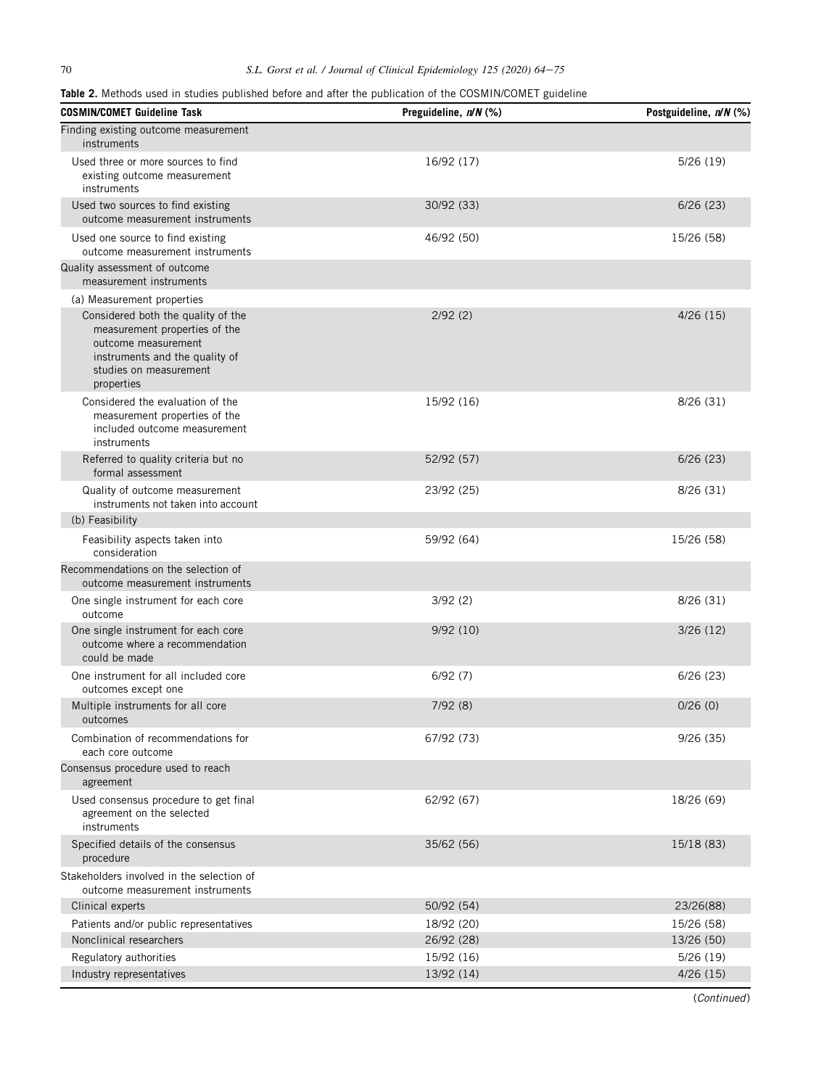<span id="page-6-0"></span>

| Table 2. Methods used in studies published before and after the publication of the COSMIN/COMET guideline |  |  |  |  |
|-----------------------------------------------------------------------------------------------------------|--|--|--|--|
|-----------------------------------------------------------------------------------------------------------|--|--|--|--|

| <b>COSMIN/COMET Guideline Task</b>                                                                                                                                   | Preguideline, n/N (%) | Postguideline, n/N (%) |
|----------------------------------------------------------------------------------------------------------------------------------------------------------------------|-----------------------|------------------------|
| Finding existing outcome measurement<br>instruments                                                                                                                  |                       |                        |
| Used three or more sources to find<br>existing outcome measurement<br>instruments                                                                                    | 16/92 (17)            | 5/26(19)               |
| Used two sources to find existing<br>outcome measurement instruments                                                                                                 | 30/92 (33)            | 6/26(23)               |
| Used one source to find existing<br>outcome measurement instruments                                                                                                  | 46/92 (50)            | 15/26 (58)             |
| Quality assessment of outcome<br>measurement instruments                                                                                                             |                       |                        |
| (a) Measurement properties                                                                                                                                           |                       |                        |
| Considered both the quality of the<br>measurement properties of the<br>outcome measurement<br>instruments and the quality of<br>studies on measurement<br>properties | 2/92(2)               | 4/26(15)               |
| Considered the evaluation of the<br>measurement properties of the<br>included outcome measurement<br>instruments                                                     | 15/92 (16)            | 8/26 (31)              |
| Referred to quality criteria but no<br>formal assessment                                                                                                             | 52/92 (57)            | 6/26(23)               |
| Quality of outcome measurement<br>instruments not taken into account                                                                                                 | 23/92 (25)            | 8/26 (31)              |
| (b) Feasibility                                                                                                                                                      |                       |                        |
| Feasibility aspects taken into<br>consideration                                                                                                                      | 59/92 (64)            | 15/26 (58)             |
| Recommendations on the selection of<br>outcome measurement instruments                                                                                               |                       |                        |
| One single instrument for each core<br>outcome                                                                                                                       | 3/92(2)               | 8/26 (31)              |
| One single instrument for each core<br>outcome where a recommendation<br>could be made                                                                               | 9/92(10)              | 3/26(12)               |
| One instrument for all included core<br>outcomes except one                                                                                                          | 6/92(7)               | 6/26(23)               |
| Multiple instruments for all core<br>outcomes                                                                                                                        | 7/92(8)               | 0/26(0)                |
| Combination of recommendations for<br>each core outcome                                                                                                              | 67/92 (73)            | 9/26(35)               |
| Consensus procedure used to reach<br>agreement                                                                                                                       |                       |                        |
| Used consensus procedure to get final<br>agreement on the selected<br>instruments                                                                                    | 62/92 (67)            | 18/26 (69)             |
| Specified details of the consensus<br>procedure                                                                                                                      | 35/62 (56)            | 15/18 (83)             |
| Stakeholders involved in the selection of<br>outcome measurement instruments                                                                                         |                       |                        |
| Clinical experts                                                                                                                                                     | 50/92 (54)            | 23/26(88)              |
| Patients and/or public representatives                                                                                                                               | 18/92 (20)            | 15/26 (58)             |
| Nonclinical researchers                                                                                                                                              | 26/92 (28)            | 13/26 (50)             |
| Regulatory authorities                                                                                                                                               | 15/92 (16)            | 5/26(19)               |
| Industry representatives                                                                                                                                             | 13/92 (14)            | 4/26(15)               |

(Continued)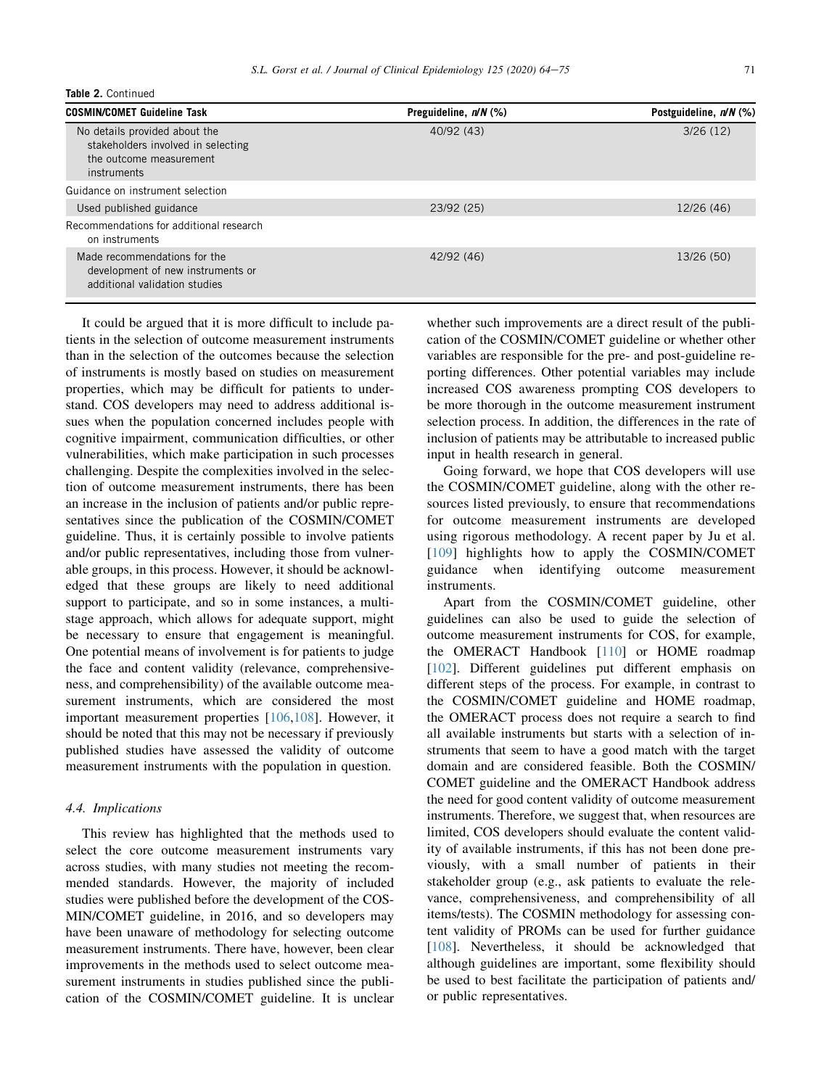| Table 2. Continued                                                                                            |                         |                        |  |  |
|---------------------------------------------------------------------------------------------------------------|-------------------------|------------------------|--|--|
| <b>COSMIN/COMET Guideline Task</b>                                                                            | Preguideline, $n/N$ (%) | Postguideline, n/N (%) |  |  |
| No details provided about the<br>stakeholders involved in selecting<br>the outcome measurement<br>instruments | 40/92 (43)              | 3/26(12)               |  |  |
| Guidance on instrument selection                                                                              |                         |                        |  |  |
| Used published guidance                                                                                       | 23/92 (25)              | 12/26 (46)             |  |  |
| Recommendations for additional research                                                                       |                         |                        |  |  |

on instruments Made recommendations for the development of new instruments or additional validation studies 42/92 (46) 13/26 (50)

It could be argued that it is more difficult to include patients in the selection of outcome measurement instruments than in the selection of the outcomes because the selection of instruments is mostly based on studies on measurement properties, which may be difficult for patients to understand. COS developers may need to address additional issues when the population concerned includes people with cognitive impairment, communication difficulties, or other vulnerabilities, which make participation in such processes challenging. Despite the complexities involved in the selection of outcome measurement instruments, there has been an increase in the inclusion of patients and/or public representatives since the publication of the COSMIN/COMET guideline. Thus, it is certainly possible to involve patients and/or public representatives, including those from vulnerable groups, in this process. However, it should be acknowledged that these groups are likely to need additional support to participate, and so in some instances, a multistage approach, which allows for adequate support, might be necessary to ensure that engagement is meaningful. One potential means of involvement is for patients to judge the face and content validity (relevance, comprehensiveness, and comprehensibility) of the available outcome measurement instruments, which are considered the most important measurement properties [\[106](#page-11-9),[108\]](#page-11-11). However, it should be noted that this may not be necessary if previously published studies have assessed the validity of outcome measurement instruments with the population in question.

#### 4.4. Implications

This review has highlighted that the methods used to select the core outcome measurement instruments vary across studies, with many studies not meeting the recommended standards. However, the majority of included studies were published before the development of the COS-MIN/COMET guideline, in 2016, and so developers may have been unaware of methodology for selecting outcome measurement instruments. There have, however, been clear improvements in the methods used to select outcome measurement instruments in studies published since the publication of the COSMIN/COMET guideline. It is unclear whether such improvements are a direct result of the publication of the COSMIN/COMET guideline or whether other variables are responsible for the pre- and post-guideline reporting differences. Other potential variables may include increased COS awareness prompting COS developers to be more thorough in the outcome measurement instrument selection process. In addition, the differences in the rate of inclusion of patients may be attributable to increased public input in health research in general.

Going forward, we hope that COS developers will use the COSMIN/COMET guideline, along with the other resources listed previously, to ensure that recommendations for outcome measurement instruments are developed using rigorous methodology. A recent paper by Ju et al. [\[109\]](#page-11-12) highlights how to apply the COSMIN/COMET guidance when identifying outcome measurement instruments.

Apart from the COSMIN/COMET guideline, other guidelines can also be used to guide the selection of outcome measurement instruments for COS, for example, the OMERACT Handbook [[110\]](#page-11-13) or HOME roadmap [\[102](#page-11-5)]. Different guidelines put different emphasis on different steps of the process. For example, in contrast to the COSMIN/COMET guideline and HOME roadmap, the OMERACT process does not require a search to find all available instruments but starts with a selection of instruments that seem to have a good match with the target domain and are considered feasible. Both the COSMIN/ COMET guideline and the OMERACT Handbook address the need for good content validity of outcome measurement instruments. Therefore, we suggest that, when resources are limited, COS developers should evaluate the content validity of available instruments, if this has not been done previously, with a small number of patients in their stakeholder group (e.g., ask patients to evaluate the relevance, comprehensiveness, and comprehensibility of all items/tests). The COSMIN methodology for assessing content validity of PROMs can be used for further guidance [\[108](#page-11-11)]. Nevertheless, it should be acknowledged that although guidelines are important, some flexibility should be used to best facilitate the participation of patients and/ or public representatives.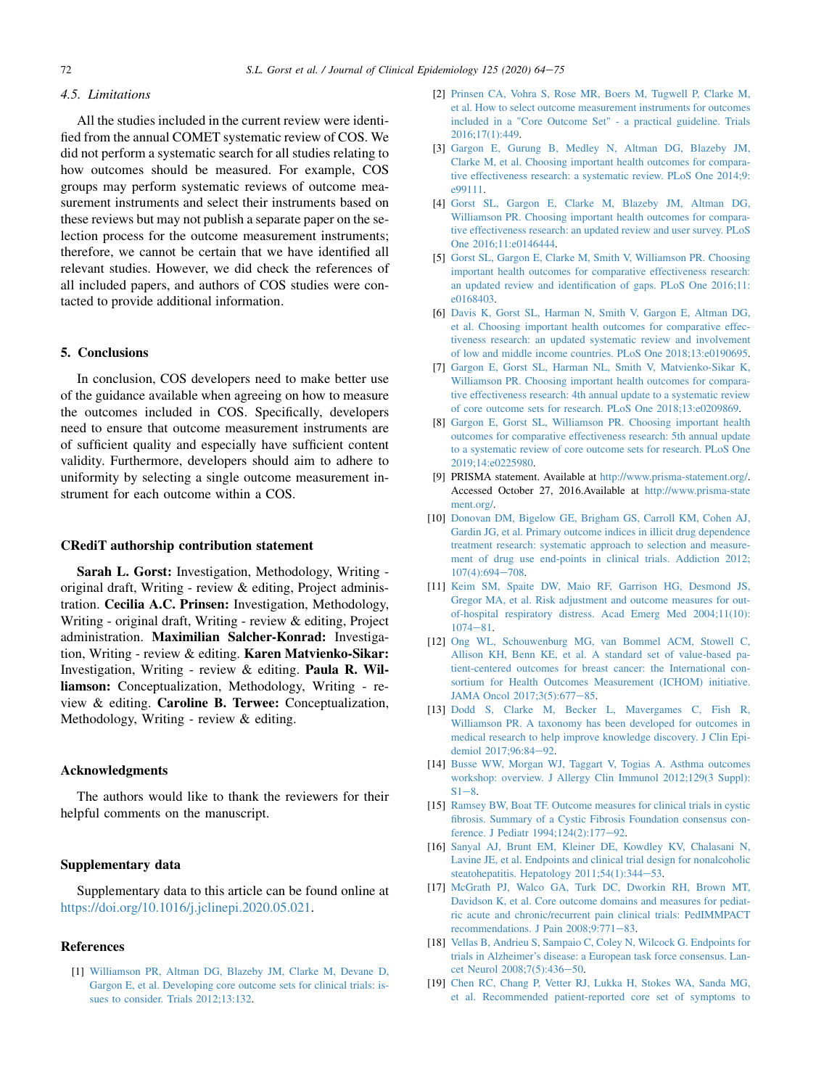#### 4.5. Limitations

All the studies included in the current review were identified from the annual COMET systematic review of COS. We did not perform a systematic search for all studies relating to how outcomes should be measured. For example, COS groups may perform systematic reviews of outcome measurement instruments and select their instruments based on these reviews but may not publish a separate paper on the selection process for the outcome measurement instruments; therefore, we cannot be certain that we have identified all relevant studies. However, we did check the references of all included papers, and authors of COS studies were contacted to provide additional information.

## 5. Conclusions

In conclusion, COS developers need to make better use of the guidance available when agreeing on how to measure the outcomes included in COS. Specifically, developers need to ensure that outcome measurement instruments are of sufficient quality and especially have sufficient content validity. Furthermore, developers should aim to adhere to uniformity by selecting a single outcome measurement instrument for each outcome within a COS.

#### CRediT authorship contribution statement

Sarah L. Gorst: Investigation, Methodology, Writing original draft, Writing - review & editing, Project administration. Cecilia A.C. Prinsen: Investigation, Methodology, Writing - original draft, Writing - review & editing, Project administration. Maximilian Salcher-Konrad: Investigation, Writing - review & editing. Karen Matvienko-Sikar: Investigation, Writing - review & editing. Paula R. Williamson: Conceptualization, Methodology, Writing - review & editing. Caroline B. Terwee: Conceptualization, Methodology, Writing - review & editing.

## Acknowledgments

The authors would like to thank the reviewers for their helpful comments on the manuscript.

# Supplementary data

Supplementary data to this article can be found online at <https://doi.org/10.1016/j.jclinepi.2020.05.021>.

## <span id="page-8-0"></span>References

[1] [Williamson PR, Altman DG, Blazeby JM, Clarke M, Devane D,](http://refhub.elsevier.com/S0895-4356(20)30106-2/sref1) [Gargon E, et al. Developing core outcome sets for clinical trials: is](http://refhub.elsevier.com/S0895-4356(20)30106-2/sref1)[sues to consider. Trials 2012;13:132](http://refhub.elsevier.com/S0895-4356(20)30106-2/sref1).

- <span id="page-8-1"></span>[2] [Prinsen CA, Vohra S, Rose MR, Boers M, Tugwell P, Clarke M,](http://refhub.elsevier.com/S0895-4356(20)30106-2/sref2) [et al. How to select outcome measurement instruments for outcomes](http://refhub.elsevier.com/S0895-4356(20)30106-2/sref2) [included in a "Core Outcome Set" - a practical guideline. Trials](http://refhub.elsevier.com/S0895-4356(20)30106-2/sref2) [2016;17\(1\):449.](http://refhub.elsevier.com/S0895-4356(20)30106-2/sref2)
- <span id="page-8-2"></span>[3] [Gargon E, Gurung B, Medley N, Altman DG, Blazeby JM,](http://refhub.elsevier.com/S0895-4356(20)30106-2/sref3) [Clarke M, et al. Choosing important health outcomes for compara](http://refhub.elsevier.com/S0895-4356(20)30106-2/sref3)[tive effectiveness research: a systematic review. PLoS One 2014;9:](http://refhub.elsevier.com/S0895-4356(20)30106-2/sref3) [e99111.](http://refhub.elsevier.com/S0895-4356(20)30106-2/sref3)
- <span id="page-8-3"></span>[4] [Gorst SL, Gargon E, Clarke M, Blazeby JM, Altman DG,](http://refhub.elsevier.com/S0895-4356(20)30106-2/sref4) [Williamson PR. Choosing important health outcomes for compara](http://refhub.elsevier.com/S0895-4356(20)30106-2/sref4)[tive effectiveness research: an updated review and user survey. PLoS](http://refhub.elsevier.com/S0895-4356(20)30106-2/sref4) [One 2016;11:e0146444.](http://refhub.elsevier.com/S0895-4356(20)30106-2/sref4)
- <span id="page-8-4"></span>[5] [Gorst SL, Gargon E, Clarke M, Smith V, Williamson PR. Choosing](http://refhub.elsevier.com/S0895-4356(20)30106-2/sref5) [important health outcomes for comparative effectiveness research:](http://refhub.elsevier.com/S0895-4356(20)30106-2/sref5) [an updated review and identification of gaps. PLoS One 2016;11:](http://refhub.elsevier.com/S0895-4356(20)30106-2/sref5) [e0168403.](http://refhub.elsevier.com/S0895-4356(20)30106-2/sref5)
- <span id="page-8-5"></span>[6] [Davis K, Gorst SL, Harman N, Smith V, Gargon E, Altman DG,](http://refhub.elsevier.com/S0895-4356(20)30106-2/sref6) [et al. Choosing important health outcomes for comparative effec](http://refhub.elsevier.com/S0895-4356(20)30106-2/sref6)[tiveness research: an updated systematic review and involvement](http://refhub.elsevier.com/S0895-4356(20)30106-2/sref6) [of low and middle income countries. PLoS One 2018;13:e0190695](http://refhub.elsevier.com/S0895-4356(20)30106-2/sref6).
- <span id="page-8-6"></span>[7] [Gargon E, Gorst SL, Harman NL, Smith V, Matvienko-Sikar K,](http://refhub.elsevier.com/S0895-4356(20)30106-2/sref7) [Williamson PR. Choosing important health outcomes for compara](http://refhub.elsevier.com/S0895-4356(20)30106-2/sref7)[tive effectiveness research: 4th annual update to a systematic review](http://refhub.elsevier.com/S0895-4356(20)30106-2/sref7) [of core outcome sets for research. PLoS One 2018;13:e0209869.](http://refhub.elsevier.com/S0895-4356(20)30106-2/sref7)
- <span id="page-8-7"></span>[8] [Gargon E, Gorst SL, Williamson PR. Choosing important health](http://refhub.elsevier.com/S0895-4356(20)30106-2/sref8) [outcomes for comparative effectiveness research: 5th annual update](http://refhub.elsevier.com/S0895-4356(20)30106-2/sref8) [to a systematic review of core outcome sets for research. PLoS One](http://refhub.elsevier.com/S0895-4356(20)30106-2/sref8) [2019;14:e0225980](http://refhub.elsevier.com/S0895-4356(20)30106-2/sref8).
- <span id="page-8-8"></span>[9] PRISMA statement. Available at <http://www.prisma-statement.org/>. Accessed October 27, 2016.Available at [http://www.prisma-state](http://www.prisma-statement.org/) [ment.org/](http://www.prisma-statement.org/).
- <span id="page-8-9"></span>[10] [Donovan DM, Bigelow GE, Brigham GS, Carroll KM, Cohen AJ,](http://refhub.elsevier.com/S0895-4356(20)30106-2/sref11) [Gardin JG, et al. Primary outcome indices in illicit drug dependence](http://refhub.elsevier.com/S0895-4356(20)30106-2/sref11) [treatment research: systematic approach to selection and measure](http://refhub.elsevier.com/S0895-4356(20)30106-2/sref11)[ment of drug use end-points in clinical trials. Addiction 2012;](http://refhub.elsevier.com/S0895-4356(20)30106-2/sref11)  $107(4):694 - 708.$  $107(4):694 - 708.$  $107(4):694 - 708.$
- <span id="page-8-10"></span>[11] [Keim SM, Spaite DW, Maio RF, Garrison HG, Desmond JS,](http://refhub.elsevier.com/S0895-4356(20)30106-2/sref12) [Gregor MA, et al. Risk adjustment and outcome measures for out](http://refhub.elsevier.com/S0895-4356(20)30106-2/sref12)[of-hospital respiratory distress. Acad Emerg Med 2004;11\(10\):](http://refhub.elsevier.com/S0895-4356(20)30106-2/sref12)  $1074 - 81$  $1074 - 81$  $1074 - 81$ .
- <span id="page-8-11"></span>[12] [Ong WL, Schouwenburg MG, van Bommel ACM, Stowell C,](http://refhub.elsevier.com/S0895-4356(20)30106-2/sref13) [Allison KH, Benn KE, et al. A standard set of value-based pa](http://refhub.elsevier.com/S0895-4356(20)30106-2/sref13)[tient-centered outcomes for breast cancer: the International con](http://refhub.elsevier.com/S0895-4356(20)30106-2/sref13)[sortium for Health Outcomes Measurement \(ICHOM\) initiative.](http://refhub.elsevier.com/S0895-4356(20)30106-2/sref13) [JAMA Oncol 2017;3\(5\):677](http://refhub.elsevier.com/S0895-4356(20)30106-2/sref13)-[85](http://refhub.elsevier.com/S0895-4356(20)30106-2/sref13).
- <span id="page-8-12"></span>[13] [Dodd S, Clarke M, Becker L, Mavergames C, Fish R,](http://refhub.elsevier.com/S0895-4356(20)30106-2/sref14) [Williamson PR. A taxonomy has been developed for outcomes in](http://refhub.elsevier.com/S0895-4356(20)30106-2/sref14) [medical research to help improve knowledge discovery. J Clin Epi](http://refhub.elsevier.com/S0895-4356(20)30106-2/sref14)[demiol 2017;96:84](http://refhub.elsevier.com/S0895-4356(20)30106-2/sref14)-[92](http://refhub.elsevier.com/S0895-4356(20)30106-2/sref14).
- <span id="page-8-13"></span>[14] [Busse WW, Morgan WJ, Taggart V, Togias A. Asthma outcomes](http://refhub.elsevier.com/S0895-4356(20)30106-2/sref15) [workshop: overview. J Allergy Clin Immunol 2012;129\(3 Suppl\):](http://refhub.elsevier.com/S0895-4356(20)30106-2/sref15)  $S1 - 8$  $S1 - 8$ .
- <span id="page-8-17"></span>[15] [Ramsey BW, Boat TF. Outcome measures for clinical trials in cystic](http://refhub.elsevier.com/S0895-4356(20)30106-2/sref16) [fibrosis. Summary of a Cystic Fibrosis Foundation consensus con](http://refhub.elsevier.com/S0895-4356(20)30106-2/sref16)[ference. J Pediatr 1994;124\(2\):177](http://refhub.elsevier.com/S0895-4356(20)30106-2/sref16)-[92.](http://refhub.elsevier.com/S0895-4356(20)30106-2/sref16)
- <span id="page-8-18"></span>[16] [Sanyal AJ, Brunt EM, Kleiner DE, Kowdley KV, Chalasani N,](http://refhub.elsevier.com/S0895-4356(20)30106-2/sref17) [Lavine JE, et al. Endpoints and clinical trial design for nonalcoholic](http://refhub.elsevier.com/S0895-4356(20)30106-2/sref17) steatohepatitis. Hepatology  $2011;54(1):344-53$ .
- <span id="page-8-14"></span>[17] [McGrath PJ, Walco GA, Turk DC, Dworkin RH, Brown MT,](http://refhub.elsevier.com/S0895-4356(20)30106-2/sref18) [Davidson K, et al. Core outcome domains and measures for pediat](http://refhub.elsevier.com/S0895-4356(20)30106-2/sref18)[ric acute and chronic/recurrent pain clinical trials: PedIMMPACT](http://refhub.elsevier.com/S0895-4356(20)30106-2/sref18) recommendations. J Pain  $2008;9:771-83$  $2008;9:771-83$ .
- <span id="page-8-15"></span>[18] [Vellas B, Andrieu S, Sampaio C, Coley N, Wilcock G. Endpoints for](http://refhub.elsevier.com/S0895-4356(20)30106-2/sref19) [trials in Alzheimer's disease: a European task force consensus. Lan](http://refhub.elsevier.com/S0895-4356(20)30106-2/sref19)[cet Neurol 2008;7\(5\):436](http://refhub.elsevier.com/S0895-4356(20)30106-2/sref19)-[50.](http://refhub.elsevier.com/S0895-4356(20)30106-2/sref19)
- <span id="page-8-16"></span>[19] [Chen RC, Chang P, Vetter RJ, Lukka H, Stokes WA, Sanda MG,](http://refhub.elsevier.com/S0895-4356(20)30106-2/sref20) [et al. Recommended patient-reported core set of symptoms to](http://refhub.elsevier.com/S0895-4356(20)30106-2/sref20)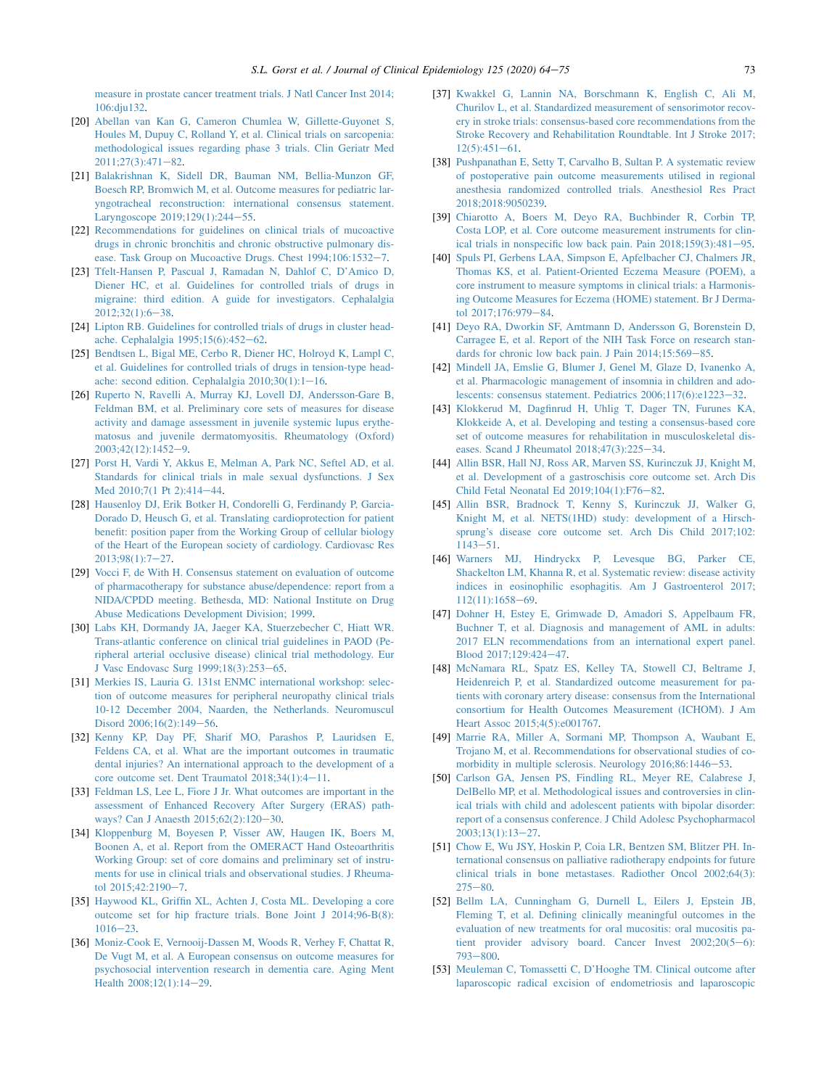[measure in prostate cancer treatment trials. J Natl Cancer Inst 2014;](http://refhub.elsevier.com/S0895-4356(20)30106-2/sref20) [106:dju132](http://refhub.elsevier.com/S0895-4356(20)30106-2/sref20).

- <span id="page-9-0"></span>[20] [Abellan van Kan G, Cameron Chumlea W, Gillette-Guyonet S,](http://refhub.elsevier.com/S0895-4356(20)30106-2/sref21) [Houles M, Dupuy C, Rolland Y, et al. Clinical trials on sarcopenia:](http://refhub.elsevier.com/S0895-4356(20)30106-2/sref21) [methodological issues regarding phase 3 trials. Clin Geriatr Med](http://refhub.elsevier.com/S0895-4356(20)30106-2/sref21)  $2011;27(3):471-82.$  $2011;27(3):471-82.$  $2011;27(3):471-82.$  $2011;27(3):471-82.$
- <span id="page-9-1"></span>[21] [Balakrishnan K, Sidell DR, Bauman NM, Bellia-Munzon GF,](http://refhub.elsevier.com/S0895-4356(20)30106-2/sref22) [Boesch RP, Bromwich M, et al. Outcome measures for pediatric lar](http://refhub.elsevier.com/S0895-4356(20)30106-2/sref22)[yngotracheal reconstruction: international consensus statement.](http://refhub.elsevier.com/S0895-4356(20)30106-2/sref22) [Laryngoscope 2019;129\(1\):244](http://refhub.elsevier.com/S0895-4356(20)30106-2/sref22)-[55](http://refhub.elsevier.com/S0895-4356(20)30106-2/sref22).
- <span id="page-9-2"></span>[22] [Recommendations for guidelines on clinical trials of mucoactive](http://refhub.elsevier.com/S0895-4356(20)30106-2/sref23) [drugs in chronic bronchitis and chronic obstructive pulmonary dis](http://refhub.elsevier.com/S0895-4356(20)30106-2/sref23)ease. Task Group on Mucoactive Drugs. Chest  $1994;106:1532-7$  $1994;106:1532-7$ .
- <span id="page-9-3"></span>[23] [Tfelt-Hansen P, Pascual J, Ramadan N, Dahlof C, D'Amico D,](http://refhub.elsevier.com/S0895-4356(20)30106-2/sref24) [Diener HC, et al. Guidelines for controlled trials of drugs in](http://refhub.elsevier.com/S0895-4356(20)30106-2/sref24) [migraine: third edition. A guide for investigators. Cephalalgia](http://refhub.elsevier.com/S0895-4356(20)30106-2/sref24)  $2012:32(1):6-38.$  $2012:32(1):6-38.$  $2012:32(1):6-38.$
- [24] [Lipton RB. Guidelines for controlled trials of drugs in cluster head](http://refhub.elsevier.com/S0895-4356(20)30106-2/sref25)[ache. Cephalalgia 1995;15\(6\):452](http://refhub.elsevier.com/S0895-4356(20)30106-2/sref25)-[62.](http://refhub.elsevier.com/S0895-4356(20)30106-2/sref25)
- <span id="page-9-21"></span>[25] [Bendtsen L, Bigal ME, Cerbo R, Diener HC, Holroyd K, Lampl C,](http://refhub.elsevier.com/S0895-4356(20)30106-2/sref26) [et al. Guidelines for controlled trials of drugs in tension-type head](http://refhub.elsevier.com/S0895-4356(20)30106-2/sref26)ache: second edition. Cephalalgia  $2010;30(1):1-16$  $2010;30(1):1-16$ .
- <span id="page-9-4"></span>[26] [Ruperto N, Ravelli A, Murray KJ, Lovell DJ, Andersson-Gare B,](http://refhub.elsevier.com/S0895-4356(20)30106-2/sref27) [Feldman BM, et al. Preliminary core sets of measures for disease](http://refhub.elsevier.com/S0895-4356(20)30106-2/sref27) [activity and damage assessment in juvenile systemic lupus erythe](http://refhub.elsevier.com/S0895-4356(20)30106-2/sref27)[matosus and juvenile dermatomyositis. Rheumatology \(Oxford\)](http://refhub.elsevier.com/S0895-4356(20)30106-2/sref27) [2003;42\(12\):1452](http://refhub.elsevier.com/S0895-4356(20)30106-2/sref27)e[9](http://refhub.elsevier.com/S0895-4356(20)30106-2/sref27).
- [27] [Porst H, Vardi Y, Akkus E, Melman A, Park NC, Seftel AD, et al.](http://refhub.elsevier.com/S0895-4356(20)30106-2/sref28) [Standards for clinical trials in male sexual dysfunctions. J Sex](http://refhub.elsevier.com/S0895-4356(20)30106-2/sref28) [Med 2010;7\(1 Pt 2\):414](http://refhub.elsevier.com/S0895-4356(20)30106-2/sref28)-[44.](http://refhub.elsevier.com/S0895-4356(20)30106-2/sref28)
- [28] [Hausenloy DJ, Erik Botker H, Condorelli G, Ferdinandy P, Garcia-](http://refhub.elsevier.com/S0895-4356(20)30106-2/sref29)[Dorado D, Heusch G, et al. Translating cardioprotection for patient](http://refhub.elsevier.com/S0895-4356(20)30106-2/sref29) [benefit: position paper from the Working Group of cellular biology](http://refhub.elsevier.com/S0895-4356(20)30106-2/sref29) [of the Heart of the European society of cardiology. Cardiovasc Res](http://refhub.elsevier.com/S0895-4356(20)30106-2/sref29)  $2013;98(1):7-27.$  $2013;98(1):7-27.$  $2013;98(1):7-27.$  $2013;98(1):7-27.$
- [29] [Vocci F, de With H. Consensus statement on evaluation of outcome](http://refhub.elsevier.com/S0895-4356(20)30106-2/sref30) [of pharmacotherapy for substance abuse/dependence: report from a](http://refhub.elsevier.com/S0895-4356(20)30106-2/sref30) [NIDA/CPDD meeting. Bethesda, MD: National Institute on Drug](http://refhub.elsevier.com/S0895-4356(20)30106-2/sref30) [Abuse Medications Development Division; 1999](http://refhub.elsevier.com/S0895-4356(20)30106-2/sref30).
- [30] [Labs KH, Dormandy JA, Jaeger KA, Stuerzebecher C, Hiatt WR.](http://refhub.elsevier.com/S0895-4356(20)30106-2/sref31) [Trans-atlantic conference on clinical trial guidelines in PAOD \(Pe](http://refhub.elsevier.com/S0895-4356(20)30106-2/sref31)[ripheral arterial occlusive disease\) clinical trial methodology. Eur](http://refhub.elsevier.com/S0895-4356(20)30106-2/sref31) [J Vasc Endovasc Surg 1999;18\(3\):253](http://refhub.elsevier.com/S0895-4356(20)30106-2/sref31)–[65.](http://refhub.elsevier.com/S0895-4356(20)30106-2/sref31)
- [31] [Merkies IS, Lauria G. 131st ENMC international workshop: selec](http://refhub.elsevier.com/S0895-4356(20)30106-2/sref32)[tion of outcome measures for peripheral neuropathy clinical trials](http://refhub.elsevier.com/S0895-4356(20)30106-2/sref32) [10-12 December 2004, Naarden, the Netherlands. Neuromuscul](http://refhub.elsevier.com/S0895-4356(20)30106-2/sref32) [Disord 2006;16\(2\):149](http://refhub.elsevier.com/S0895-4356(20)30106-2/sref32)-[56.](http://refhub.elsevier.com/S0895-4356(20)30106-2/sref32)
- <span id="page-9-23"></span>[32] [Kenny KP, Day PF, Sharif MO, Parashos P, Lauridsen E,](http://refhub.elsevier.com/S0895-4356(20)30106-2/sref33) [Feldens CA, et al. What are the important outcomes in traumatic](http://refhub.elsevier.com/S0895-4356(20)30106-2/sref33) [dental injuries? An international approach to the development of a](http://refhub.elsevier.com/S0895-4356(20)30106-2/sref33) core outcome set. Dent Traumatol  $2018;34(1):4-11$  $2018;34(1):4-11$ .
- <span id="page-9-5"></span>[33] [Feldman LS, Lee L, Fiore J Jr. What outcomes are important in the](http://refhub.elsevier.com/S0895-4356(20)30106-2/sref34) [assessment of Enhanced Recovery After Surgery \(ERAS\) path](http://refhub.elsevier.com/S0895-4356(20)30106-2/sref34)[ways? Can J Anaesth 2015;62\(2\):120](http://refhub.elsevier.com/S0895-4356(20)30106-2/sref34)-[30](http://refhub.elsevier.com/S0895-4356(20)30106-2/sref34).
- <span id="page-9-6"></span>[34] [Kloppenburg M, Boyesen P, Visser AW, Haugen IK, Boers M,](http://refhub.elsevier.com/S0895-4356(20)30106-2/sref35) [Boonen A, et al. Report from the OMERACT Hand Osteoarthritis](http://refhub.elsevier.com/S0895-4356(20)30106-2/sref35) [Working Group: set of core domains and preliminary set of instru](http://refhub.elsevier.com/S0895-4356(20)30106-2/sref35)[ments for use in clinical trials and observational studies. J Rheuma](http://refhub.elsevier.com/S0895-4356(20)30106-2/sref35)[tol 2015;42:2190](http://refhub.elsevier.com/S0895-4356(20)30106-2/sref35)-[7](http://refhub.elsevier.com/S0895-4356(20)30106-2/sref35).
- <span id="page-9-7"></span>[35] [Haywood KL, Griffin XL, Achten J, Costa ML. Developing a core](http://refhub.elsevier.com/S0895-4356(20)30106-2/sref36) [outcome set for hip fracture trials. Bone Joint J 2014;96-B\(8\):](http://refhub.elsevier.com/S0895-4356(20)30106-2/sref36)  $1016 - 23$  $1016 - 23$ .
- <span id="page-9-8"></span>[36] [Moniz-Cook E, Vernooij-Dassen M, Woods R, Verhey F, Chattat R,](http://refhub.elsevier.com/S0895-4356(20)30106-2/sref37) [De Vugt M, et al. A European consensus on outcome measures for](http://refhub.elsevier.com/S0895-4356(20)30106-2/sref37) [psychosocial intervention research in dementia care. Aging Ment](http://refhub.elsevier.com/S0895-4356(20)30106-2/sref37) [Health 2008;12\(1\):14](http://refhub.elsevier.com/S0895-4356(20)30106-2/sref37)-[29](http://refhub.elsevier.com/S0895-4356(20)30106-2/sref37).
- <span id="page-9-19"></span>[37] [Kwakkel G, Lannin NA, Borschmann K, English C, Ali M,](http://refhub.elsevier.com/S0895-4356(20)30106-2/sref38) [Churilov L, et al. Standardized measurement of sensorimotor recov](http://refhub.elsevier.com/S0895-4356(20)30106-2/sref38)[ery in stroke trials: consensus-based core recommendations from the](http://refhub.elsevier.com/S0895-4356(20)30106-2/sref38) [Stroke Recovery and Rehabilitation Roundtable. Int J Stroke 2017;](http://refhub.elsevier.com/S0895-4356(20)30106-2/sref38)  $12(5):451-61.$  $12(5):451-61.$  $12(5):451-61.$  $12(5):451-61.$
- <span id="page-9-9"></span>[38] [Pushpanathan E, Setty T, Carvalho B, Sultan P. A systematic review](http://refhub.elsevier.com/S0895-4356(20)30106-2/sref39) [of postoperative pain outcome measurements utilised in regional](http://refhub.elsevier.com/S0895-4356(20)30106-2/sref39) [anesthesia randomized controlled trials. Anesthesiol Res Pract](http://refhub.elsevier.com/S0895-4356(20)30106-2/sref39) [2018;2018:9050239](http://refhub.elsevier.com/S0895-4356(20)30106-2/sref39).
- <span id="page-9-10"></span>[39] [Chiarotto A, Boers M, Deyo RA, Buchbinder R, Corbin TP,](http://refhub.elsevier.com/S0895-4356(20)30106-2/sref40) [Costa LOP, et al. Core outcome measurement instruments for clin](http://refhub.elsevier.com/S0895-4356(20)30106-2/sref40)ical trials in nonspecific low back pain. Pain  $2018;159(3):481-95$  $2018;159(3):481-95$ .
- <span id="page-9-22"></span>[40] [Spuls PI, Gerbens LAA, Simpson E, Apfelbacher CJ, Chalmers JR,](http://refhub.elsevier.com/S0895-4356(20)30106-2/sref41) [Thomas KS, et al. Patient-Oriented Eczema Measure \(POEM\), a](http://refhub.elsevier.com/S0895-4356(20)30106-2/sref41) [core instrument to measure symptoms in clinical trials: a Harmonis](http://refhub.elsevier.com/S0895-4356(20)30106-2/sref41)[ing Outcome Measures for Eczema \(HOME\) statement. Br J Derma-](http://refhub.elsevier.com/S0895-4356(20)30106-2/sref41)tol 2017:176:979-[84](http://refhub.elsevier.com/S0895-4356(20)30106-2/sref41).
- <span id="page-9-11"></span>[41] [Deyo RA, Dworkin SF, Amtmann D, Andersson G, Borenstein D,](http://refhub.elsevier.com/S0895-4356(20)30106-2/sref42) [Carragee E, et al. Report of the NIH Task Force on research stan](http://refhub.elsevier.com/S0895-4356(20)30106-2/sref42)[dards for chronic low back pain. J Pain 2014;15:569](http://refhub.elsevier.com/S0895-4356(20)30106-2/sref42)-[85.](http://refhub.elsevier.com/S0895-4356(20)30106-2/sref42)
- <span id="page-9-16"></span>[42] [Mindell JA, Emslie G, Blumer J, Genel M, Glaze D, Ivanenko A,](http://refhub.elsevier.com/S0895-4356(20)30106-2/sref43) [et al. Pharmacologic management of insomnia in children and ado](http://refhub.elsevier.com/S0895-4356(20)30106-2/sref43)lescents: consensus statement. Pediatrics  $2006;117(6):e1223-32$  $2006;117(6):e1223-32$ .
- <span id="page-9-12"></span>[43] [Klokkerud M, Dagfinrud H, Uhlig T, Dager TN, Furunes KA,](http://refhub.elsevier.com/S0895-4356(20)30106-2/sref44) [Klokkeide A, et al. Developing and testing a consensus-based core](http://refhub.elsevier.com/S0895-4356(20)30106-2/sref44) [set of outcome measures for rehabilitation in musculoskeletal dis](http://refhub.elsevier.com/S0895-4356(20)30106-2/sref44)eases. Scand J Rheumatol  $2018;47(3):225-34$  $2018;47(3):225-34$ .
- <span id="page-9-13"></span>[44] [Allin BSR, Hall NJ, Ross AR, Marven SS, Kurinczuk JJ, Knight M,](http://refhub.elsevier.com/S0895-4356(20)30106-2/sref45) [et al. Development of a gastroschisis core outcome set. Arch Dis](http://refhub.elsevier.com/S0895-4356(20)30106-2/sref45) Child Fetal Neonatal Ed  $2019;104(1):F76-82$ .
- <span id="page-9-17"></span>[45] [Allin BSR, Bradnock T, Kenny S, Kurinczuk JJ, Walker G,](http://refhub.elsevier.com/S0895-4356(20)30106-2/sref46) [Knight M, et al. NETS\(1HD\) study: development of a Hirsch](http://refhub.elsevier.com/S0895-4356(20)30106-2/sref46)[sprung's disease core outcome set. Arch Dis Child 2017;102:](http://refhub.elsevier.com/S0895-4356(20)30106-2/sref46)  $1143 - 51$  $1143 - 51$ .
- <span id="page-9-18"></span>[46] [Warners MJ, Hindryckx P, Levesque BG, Parker CE,](http://refhub.elsevier.com/S0895-4356(20)30106-2/sref47) [Shackelton LM, Khanna R, et al. Systematic review: disease activity](http://refhub.elsevier.com/S0895-4356(20)30106-2/sref47) [indices in eosinophilic esophagitis. Am J Gastroenterol 2017;](http://refhub.elsevier.com/S0895-4356(20)30106-2/sref47) [112\(11\):1658](http://refhub.elsevier.com/S0895-4356(20)30106-2/sref47)-[69](http://refhub.elsevier.com/S0895-4356(20)30106-2/sref47).
- <span id="page-9-14"></span>[47] [Dohner H, Estey E, Grimwade D, Amadori S, Appelbaum FR,](http://refhub.elsevier.com/S0895-4356(20)30106-2/sref48) [Buchner T, et al. Diagnosis and management of AML in adults:](http://refhub.elsevier.com/S0895-4356(20)30106-2/sref48) [2017 ELN recommendations from an international expert panel.](http://refhub.elsevier.com/S0895-4356(20)30106-2/sref48) Blood 2017:129:424-[47](http://refhub.elsevier.com/S0895-4356(20)30106-2/sref48).
- <span id="page-9-15"></span>[48] [McNamara RL, Spatz ES, Kelley TA, Stowell CJ, Beltrame J,](http://refhub.elsevier.com/S0895-4356(20)30106-2/sref49) [Heidenreich P, et al. Standardized outcome measurement for pa](http://refhub.elsevier.com/S0895-4356(20)30106-2/sref49)[tients with coronary artery disease: consensus from the International](http://refhub.elsevier.com/S0895-4356(20)30106-2/sref49) [consortium for Health Outcomes Measurement \(ICHOM\). J Am](http://refhub.elsevier.com/S0895-4356(20)30106-2/sref49) [Heart Assoc 2015;4\(5\):e001767](http://refhub.elsevier.com/S0895-4356(20)30106-2/sref49).
- <span id="page-9-20"></span>[49] [Marrie RA, Miller A, Sormani MP, Thompson A, Waubant E,](http://refhub.elsevier.com/S0895-4356(20)30106-2/sref50) [Trojano M, et al. Recommendations for observational studies of co](http://refhub.elsevier.com/S0895-4356(20)30106-2/sref50)[morbidity in multiple sclerosis. Neurology 2016;86:1446](http://refhub.elsevier.com/S0895-4356(20)30106-2/sref50)-[53](http://refhub.elsevier.com/S0895-4356(20)30106-2/sref50).
- [50] [Carlson GA, Jensen PS, Findling RL, Meyer RE, Calabrese J,](http://refhub.elsevier.com/S0895-4356(20)30106-2/sref51) [DelBello MP, et al. Methodological issues and controversies in clin](http://refhub.elsevier.com/S0895-4356(20)30106-2/sref51)[ical trials with child and adolescent patients with bipolar disorder:](http://refhub.elsevier.com/S0895-4356(20)30106-2/sref51) [report of a consensus conference. J Child Adolesc Psychopharmacol](http://refhub.elsevier.com/S0895-4356(20)30106-2/sref51) [2003;13\(1\):13](http://refhub.elsevier.com/S0895-4356(20)30106-2/sref51)e[27](http://refhub.elsevier.com/S0895-4356(20)30106-2/sref51).
- [51] [Chow E, Wu JSY, Hoskin P, Coia LR, Bentzen SM, Blitzer PH. In](http://refhub.elsevier.com/S0895-4356(20)30106-2/sref52)[ternational consensus on palliative radiotherapy endpoints for future](http://refhub.elsevier.com/S0895-4356(20)30106-2/sref52) [clinical trials in bone metastases. Radiother Oncol 2002;64\(3\):](http://refhub.elsevier.com/S0895-4356(20)30106-2/sref52)  $275 - 80.$  $275 - 80.$  $275 - 80.$
- [52] [Bellm LA, Cunningham G, Durnell L, Eilers J, Epstein JB,](http://refhub.elsevier.com/S0895-4356(20)30106-2/sref53) [Fleming T, et al. Defining clinically meaningful outcomes in the](http://refhub.elsevier.com/S0895-4356(20)30106-2/sref53) [evaluation of new treatments for oral mucositis: oral mucositis pa](http://refhub.elsevier.com/S0895-4356(20)30106-2/sref53)tient provider advisory board. Cancer Invest  $2002;20(5-6)$ :  $793 - 800.$  $793 - 800.$  $793 - 800.$
- [53] [Meuleman C, Tomassetti C, D'Hooghe TM. Clinical outcome after](http://refhub.elsevier.com/S0895-4356(20)30106-2/sref54) [laparoscopic radical excision of endometriosis and laparoscopic](http://refhub.elsevier.com/S0895-4356(20)30106-2/sref54)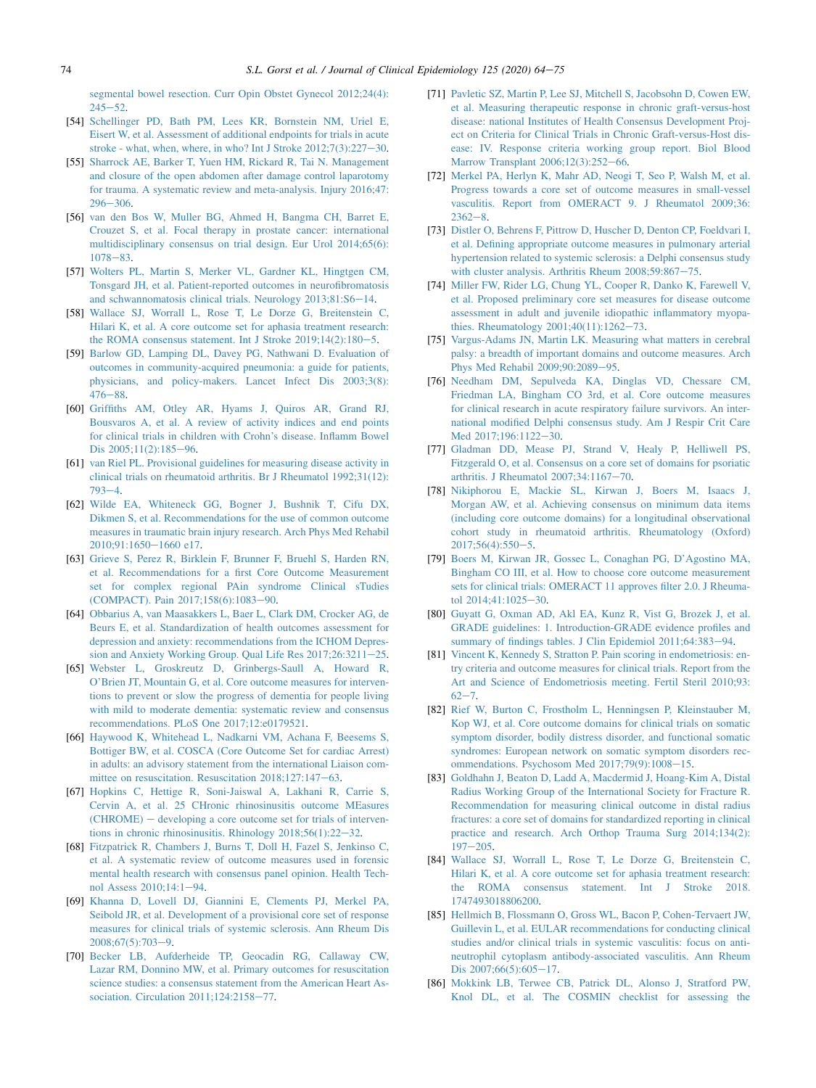[segmental bowel resection. Curr Opin Obstet Gynecol 2012;24\(4\):](http://refhub.elsevier.com/S0895-4356(20)30106-2/sref54)  $245 - 52$  $245 - 52$  $245 - 52$ 

- [54] [Schellinger PD, Bath PM, Lees KR, Bornstein NM, Uriel E,](http://refhub.elsevier.com/S0895-4356(20)30106-2/sref55) [Eisert W, et al. Assessment of additional endpoints for trials in acute](http://refhub.elsevier.com/S0895-4356(20)30106-2/sref55) stroke - what, when, where, in who? Int J Stroke  $2012;7(3):227-30$  $2012;7(3):227-30$ .
- [55] [Sharrock AE, Barker T, Yuen HM, Rickard R, Tai N. Management](http://refhub.elsevier.com/S0895-4356(20)30106-2/sref56) [and closure of the open abdomen after damage control laparotomy](http://refhub.elsevier.com/S0895-4356(20)30106-2/sref56) [for trauma. A systematic review and meta-analysis. Injury 2016;47:](http://refhub.elsevier.com/S0895-4356(20)30106-2/sref56)  $296 - 306$  $296 - 306$  $296 - 306$ .
- [56] [van den Bos W, Muller BG, Ahmed H, Bangma CH, Barret E,](http://refhub.elsevier.com/S0895-4356(20)30106-2/sref57) [Crouzet S, et al. Focal therapy in prostate cancer: international](http://refhub.elsevier.com/S0895-4356(20)30106-2/sref57) [multidisciplinary consensus on trial design. Eur Urol 2014;65\(6\):](http://refhub.elsevier.com/S0895-4356(20)30106-2/sref57)  $1078 - 83$  $1078 - 83$  $1078 - 83$
- [57] [Wolters PL, Martin S, Merker VL, Gardner KL, Hingtgen CM,](http://refhub.elsevier.com/S0895-4356(20)30106-2/sref58) [Tonsgard JH, et al. Patient-reported outcomes in neurofibromatosis](http://refhub.elsevier.com/S0895-4356(20)30106-2/sref58) [and schwannomatosis clinical trials. Neurology 2013;81:S6](http://refhub.elsevier.com/S0895-4356(20)30106-2/sref58)-[14](http://refhub.elsevier.com/S0895-4356(20)30106-2/sref58).
- [58] [Wallace SJ, Worrall L, Rose T, Le Dorze G, Breitenstein C,](http://refhub.elsevier.com/S0895-4356(20)30106-2/sref59) [Hilari K, et al. A core outcome set for aphasia treatment research:](http://refhub.elsevier.com/S0895-4356(20)30106-2/sref59) the ROMA consensus statement. Int J Stroke  $2019;14(2):180-5$  $2019;14(2):180-5$ .
- <span id="page-10-0"></span>[59] [Barlow GD, Lamping DL, Davey PG, Nathwani D. Evaluation of](http://refhub.elsevier.com/S0895-4356(20)30106-2/sref60) [outcomes in community-acquired pneumonia: a guide for patients,](http://refhub.elsevier.com/S0895-4356(20)30106-2/sref60) [physicians, and policy-makers. Lancet Infect Dis 2003;3\(8\):](http://refhub.elsevier.com/S0895-4356(20)30106-2/sref60)  $476 - 88.$  $476 - 88.$  $476 - 88.$  $476 - 88.$
- [60] [Griffiths AM, Otley AR, Hyams J, Quiros AR, Grand RJ,](http://refhub.elsevier.com/S0895-4356(20)30106-2/sref61) [Bousvaros A, et al. A review of activity indices and end points](http://refhub.elsevier.com/S0895-4356(20)30106-2/sref61) [for clinical trials in children with Crohn's disease. Inflamm Bowel](http://refhub.elsevier.com/S0895-4356(20)30106-2/sref61) Dis  $2005;11(2):185-96$  $2005;11(2):185-96$ .
- [61] [van Riel PL. Provisional guidelines for measuring disease activity in](http://refhub.elsevier.com/S0895-4356(20)30106-2/sref62) [clinical trials on rheumatoid arthritis. Br J Rheumatol 1992;31\(12\):](http://refhub.elsevier.com/S0895-4356(20)30106-2/sref62)  $793 - 4.$  $793 - 4.$  $793 - 4.$  $793 - 4.$
- [62] [Wilde EA, Whiteneck GG, Bogner J, Bushnik T, Cifu DX,](http://refhub.elsevier.com/S0895-4356(20)30106-2/sref63) [Dikmen S, et al. Recommendations for the use of common outcome](http://refhub.elsevier.com/S0895-4356(20)30106-2/sref63) [measures in traumatic brain injury research. Arch Phys Med Rehabil](http://refhub.elsevier.com/S0895-4356(20)30106-2/sref63)  $2010:91:1650-1660$  e17.
- <span id="page-10-4"></span>[63] [Grieve S, Perez R, Birklein F, Brunner F, Bruehl S, Harden RN,](http://refhub.elsevier.com/S0895-4356(20)30106-2/sref64) [et al. Recommendations for a first Core Outcome Measurement](http://refhub.elsevier.com/S0895-4356(20)30106-2/sref64) [set for complex regional PAin syndrome Clinical sTudies](http://refhub.elsevier.com/S0895-4356(20)30106-2/sref64) [\(COMPACT\). Pain 2017;158\(6\):1083](http://refhub.elsevier.com/S0895-4356(20)30106-2/sref64)-[90.](http://refhub.elsevier.com/S0895-4356(20)30106-2/sref64)
- <span id="page-10-2"></span>[64] [Obbarius A, van Maasakkers L, Baer L, Clark DM, Crocker AG, de](http://refhub.elsevier.com/S0895-4356(20)30106-2/sref65) [Beurs E, et al. Standardization of health outcomes assessment for](http://refhub.elsevier.com/S0895-4356(20)30106-2/sref65) [depression and anxiety: recommendations from the ICHOM Depres](http://refhub.elsevier.com/S0895-4356(20)30106-2/sref65)[sion and Anxiety Working Group. Qual Life Res 2017;26:3211](http://refhub.elsevier.com/S0895-4356(20)30106-2/sref65)-[25](http://refhub.elsevier.com/S0895-4356(20)30106-2/sref65).
- [65] [Webster L, Groskreutz D, Grinbergs-Saull A, Howard R,](http://refhub.elsevier.com/S0895-4356(20)30106-2/sref66) [O'Brien JT, Mountain G, et al. Core outcome measures for interven](http://refhub.elsevier.com/S0895-4356(20)30106-2/sref66)[tions to prevent or slow the progress of dementia for people living](http://refhub.elsevier.com/S0895-4356(20)30106-2/sref66) [with mild to moderate dementia: systematic review and consensus](http://refhub.elsevier.com/S0895-4356(20)30106-2/sref66) [recommendations. PLoS One 2017;12:e0179521.](http://refhub.elsevier.com/S0895-4356(20)30106-2/sref66)
- [66] [Haywood K, Whitehead L, Nadkarni VM, Achana F, Beesems S,](http://refhub.elsevier.com/S0895-4356(20)30106-2/sref67) [Bottiger BW, et al. COSCA \(Core Outcome Set for cardiac Arrest\)](http://refhub.elsevier.com/S0895-4356(20)30106-2/sref67) [in adults: an advisory statement from the international Liaison com](http://refhub.elsevier.com/S0895-4356(20)30106-2/sref67)mittee on resuscitation. Resuscitation  $2018;127:147-63$  $2018;127:147-63$ .
- [67] [Hopkins C, Hettige R, Soni-Jaiswal A, Lakhani R, Carrie S,](http://refhub.elsevier.com/S0895-4356(20)30106-2/sref68) [Cervin A, et al. 25 CHronic rhinosinusitis outcome MEasures](http://refhub.elsevier.com/S0895-4356(20)30106-2/sref68)  $(CHROME)$  – [developing a core outcome set for trials of interven](http://refhub.elsevier.com/S0895-4356(20)30106-2/sref68)tions in chronic rhinosinusitis. Rhinology  $2018;56(1):22-32$  $2018;56(1):22-32$ .
- <span id="page-10-1"></span>[68] [Fitzpatrick R, Chambers J, Burns T, Doll H, Fazel S, Jenkinso C,](http://refhub.elsevier.com/S0895-4356(20)30106-2/sref69) [et al. A systematic review of outcome measures used in forensic](http://refhub.elsevier.com/S0895-4356(20)30106-2/sref69) [mental health research with consensus panel opinion. Health Tech](http://refhub.elsevier.com/S0895-4356(20)30106-2/sref69)[nol Assess 2010;14:1](http://refhub.elsevier.com/S0895-4356(20)30106-2/sref69)-[94.](http://refhub.elsevier.com/S0895-4356(20)30106-2/sref69)
- [69] [Khanna D, Lovell DJ, Giannini E, Clements PJ, Merkel PA,](http://refhub.elsevier.com/S0895-4356(20)30106-2/sref70) [Seibold JR, et al. Development of a provisional core set of response](http://refhub.elsevier.com/S0895-4356(20)30106-2/sref70) [measures for clinical trials of systemic sclerosis. Ann Rheum Dis](http://refhub.elsevier.com/S0895-4356(20)30106-2/sref70)  $2008;67(5):703-9.$  $2008;67(5):703-9.$  $2008;67(5):703-9.$
- [70] [Becker LB, Aufderheide TP, Geocadin RG, Callaway CW,](http://refhub.elsevier.com/S0895-4356(20)30106-2/sref71) [Lazar RM, Donnino MW, et al. Primary outcomes for resuscitation](http://refhub.elsevier.com/S0895-4356(20)30106-2/sref71) [science studies: a consensus statement from the American Heart As](http://refhub.elsevier.com/S0895-4356(20)30106-2/sref71)sociation. Circulation  $2011;124:2158-77$  $2011;124:2158-77$ .
- [71] [Pavletic SZ, Martin P, Lee SJ, Mitchell S, Jacobsohn D, Cowen EW,](http://refhub.elsevier.com/S0895-4356(20)30106-2/sref72) [et al. Measuring therapeutic response in chronic graft-versus-host](http://refhub.elsevier.com/S0895-4356(20)30106-2/sref72) [disease: national Institutes of Health Consensus Development Proj](http://refhub.elsevier.com/S0895-4356(20)30106-2/sref72)[ect on Criteria for Clinical Trials in Chronic Graft-versus-Host dis](http://refhub.elsevier.com/S0895-4356(20)30106-2/sref72)[ease: IV. Response criteria working group report. Biol Blood](http://refhub.elsevier.com/S0895-4356(20)30106-2/sref72) [Marrow Transplant 2006;12\(3\):252](http://refhub.elsevier.com/S0895-4356(20)30106-2/sref72)-[66](http://refhub.elsevier.com/S0895-4356(20)30106-2/sref72).
- <span id="page-10-5"></span>[72] [Merkel PA, Herlyn K, Mahr AD, Neogi T, Seo P, Walsh M, et al.](http://refhub.elsevier.com/S0895-4356(20)30106-2/sref73) [Progress towards a core set of outcome measures in small-vessel](http://refhub.elsevier.com/S0895-4356(20)30106-2/sref73) [vasculitis. Report from OMERACT 9. J Rheumatol 2009;36:](http://refhub.elsevier.com/S0895-4356(20)30106-2/sref73)  $2362 - 8.$  $2362 - 8.$  $2362 - 8.$  $2362 - 8.$
- <span id="page-10-3"></span>[73] [Distler O, Behrens F, Pittrow D, Huscher D, Denton CP, Foeldvari I,](http://refhub.elsevier.com/S0895-4356(20)30106-2/sref74) [et al. Defining appropriate outcome measures in pulmonary arterial](http://refhub.elsevier.com/S0895-4356(20)30106-2/sref74) [hypertension related to systemic sclerosis: a Delphi consensus study](http://refhub.elsevier.com/S0895-4356(20)30106-2/sref74) [with cluster analysis. Arthritis Rheum 2008;59:867](http://refhub.elsevier.com/S0895-4356(20)30106-2/sref74)-[75.](http://refhub.elsevier.com/S0895-4356(20)30106-2/sref74)
- [74] [Miller FW, Rider LG, Chung YL, Cooper R, Danko K, Farewell V,](http://refhub.elsevier.com/S0895-4356(20)30106-2/sref75) [et al. Proposed preliminary core set measures for disease outcome](http://refhub.elsevier.com/S0895-4356(20)30106-2/sref75) [assessment in adult and juvenile idiopathic inflammatory myopa](http://refhub.elsevier.com/S0895-4356(20)30106-2/sref75)thies. Rheumatology  $2001;40(11):1262-73$  $2001;40(11):1262-73$ .
- [75] [Vargus-Adams JN, Martin LK. Measuring what matters in cerebral](http://refhub.elsevier.com/S0895-4356(20)30106-2/sref76) [palsy: a breadth of important domains and outcome measures. Arch](http://refhub.elsevier.com/S0895-4356(20)30106-2/sref76) [Phys Med Rehabil 2009;90:2089](http://refhub.elsevier.com/S0895-4356(20)30106-2/sref76)-[95](http://refhub.elsevier.com/S0895-4356(20)30106-2/sref76).
- <span id="page-10-15"></span>[76] [Needham DM, Sepulveda KA, Dinglas VD, Chessare CM,](http://refhub.elsevier.com/S0895-4356(20)30106-2/sref77) [Friedman LA, Bingham CO 3rd, et al. Core outcome measures](http://refhub.elsevier.com/S0895-4356(20)30106-2/sref77) [for clinical research in acute respiratory failure survivors. An inter](http://refhub.elsevier.com/S0895-4356(20)30106-2/sref77)[national modified Delphi consensus study. Am J Respir Crit Care](http://refhub.elsevier.com/S0895-4356(20)30106-2/sref77) Med 2017:196:1122-[30.](http://refhub.elsevier.com/S0895-4356(20)30106-2/sref77)
- <span id="page-10-6"></span>[77] [Gladman DD, Mease PJ, Strand V, Healy P, Helliwell PS,](http://refhub.elsevier.com/S0895-4356(20)30106-2/sref78) [Fitzgerald O, et al. Consensus on a core set of domains for psoriatic](http://refhub.elsevier.com/S0895-4356(20)30106-2/sref78) arthritis. J Rheumatol  $2007;34:1167-70$  $2007;34:1167-70$ .
- <span id="page-10-7"></span>[78] [Nikiphorou E, Mackie SL, Kirwan J, Boers M, Isaacs J,](http://refhub.elsevier.com/S0895-4356(20)30106-2/sref79) [Morgan AW, et al. Achieving consensus on minimum data items](http://refhub.elsevier.com/S0895-4356(20)30106-2/sref79) [\(including core outcome domains\) for a longitudinal observational](http://refhub.elsevier.com/S0895-4356(20)30106-2/sref79) [cohort study in rheumatoid arthritis. Rheumatology \(Oxford\)](http://refhub.elsevier.com/S0895-4356(20)30106-2/sref79)  $2017:56(4):550-5.$  $2017:56(4):550-5.$
- <span id="page-10-8"></span>[79] [Boers M, Kirwan JR, Gossec L, Conaghan PG, D'Agostino MA,](http://refhub.elsevier.com/S0895-4356(20)30106-2/sref80) [Bingham CO III, et al. How to choose core outcome measurement](http://refhub.elsevier.com/S0895-4356(20)30106-2/sref80) [sets for clinical trials: OMERACT 11 approves filter 2.0. J Rheuma](http://refhub.elsevier.com/S0895-4356(20)30106-2/sref80)[tol 2014;41:1025](http://refhub.elsevier.com/S0895-4356(20)30106-2/sref80)-[30.](http://refhub.elsevier.com/S0895-4356(20)30106-2/sref80)
- <span id="page-10-9"></span>[80] [Guyatt G, Oxman AD, Akl EA, Kunz R, Vist G, Brozek J, et al.](http://refhub.elsevier.com/S0895-4356(20)30106-2/sref81) [GRADE guidelines: 1. Introduction-GRADE evidence profiles and](http://refhub.elsevier.com/S0895-4356(20)30106-2/sref81) [summary of findings tables. J Clin Epidemiol 2011;64:383](http://refhub.elsevier.com/S0895-4356(20)30106-2/sref81)-[94.](http://refhub.elsevier.com/S0895-4356(20)30106-2/sref81)
- <span id="page-10-10"></span>[81] [Vincent K, Kennedy S, Stratton P. Pain scoring in endometriosis: en](http://refhub.elsevier.com/S0895-4356(20)30106-2/sref82)[try criteria and outcome measures for clinical trials. Report from the](http://refhub.elsevier.com/S0895-4356(20)30106-2/sref82) [Art and Science of Endometriosis meeting. Fertil Steril 2010;93:](http://refhub.elsevier.com/S0895-4356(20)30106-2/sref82)  $62 - 7.$  $62 - 7.$  $62 - 7.$  $62 - 7.$
- <span id="page-10-11"></span>[82] [Rief W, Burton C, Frostholm L, Henningsen P, Kleinstauber M,](http://refhub.elsevier.com/S0895-4356(20)30106-2/sref83) [Kop WJ, et al. Core outcome domains for clinical trials on somatic](http://refhub.elsevier.com/S0895-4356(20)30106-2/sref83) [symptom disorder, bodily distress disorder, and functional somatic](http://refhub.elsevier.com/S0895-4356(20)30106-2/sref83) [syndromes: European network on somatic symptom disorders rec](http://refhub.elsevier.com/S0895-4356(20)30106-2/sref83)ommendations. Psychosom Med  $2017;79(9):1008-15$  $2017;79(9):1008-15$ .
- <span id="page-10-12"></span>[83] [Goldhahn J, Beaton D, Ladd A, Macdermid J, Hoang-Kim A, Distal](http://refhub.elsevier.com/S0895-4356(20)30106-2/sref84) [Radius Working Group of the International Society for Fracture R.](http://refhub.elsevier.com/S0895-4356(20)30106-2/sref84) [Recommendation for measuring clinical outcome in distal radius](http://refhub.elsevier.com/S0895-4356(20)30106-2/sref84) [fractures: a core set of domains for standardized reporting in clinical](http://refhub.elsevier.com/S0895-4356(20)30106-2/sref84) [practice and research. Arch Orthop Trauma Surg 2014;134\(2\):](http://refhub.elsevier.com/S0895-4356(20)30106-2/sref84)  $197 - 205$  $197 - 205$  $197 - 205$ .
- <span id="page-10-13"></span>[84] [Wallace SJ, Worrall L, Rose T, Le Dorze G, Breitenstein C,](http://refhub.elsevier.com/S0895-4356(20)30106-2/sref85) [Hilari K, et al. A core outcome set for aphasia treatment research:](http://refhub.elsevier.com/S0895-4356(20)30106-2/sref85) [the ROMA consensus statement. Int J Stroke 2018.](http://refhub.elsevier.com/S0895-4356(20)30106-2/sref85) [1747493018806200.](http://refhub.elsevier.com/S0895-4356(20)30106-2/sref85)
- <span id="page-10-14"></span>[85] [Hellmich B, Flossmann O, Gross WL, Bacon P, Cohen-Tervaert JW,](http://refhub.elsevier.com/S0895-4356(20)30106-2/sref86) [Guillevin L, et al. EULAR recommendations for conducting clinical](http://refhub.elsevier.com/S0895-4356(20)30106-2/sref86) [studies and/or clinical trials in systemic vasculitis: focus on anti](http://refhub.elsevier.com/S0895-4356(20)30106-2/sref86)[neutrophil cytoplasm antibody-associated vasculitis. Ann Rheum](http://refhub.elsevier.com/S0895-4356(20)30106-2/sref86) [Dis 2007;66\(5\):605](http://refhub.elsevier.com/S0895-4356(20)30106-2/sref86)-[17](http://refhub.elsevier.com/S0895-4356(20)30106-2/sref86).
- <span id="page-10-16"></span>[86] [Mokkink LB, Terwee CB, Patrick DL, Alonso J, Stratford PW,](http://refhub.elsevier.com/S0895-4356(20)30106-2/sref87) [Knol DL, et al. The COSMIN checklist for assessing the](http://refhub.elsevier.com/S0895-4356(20)30106-2/sref87)